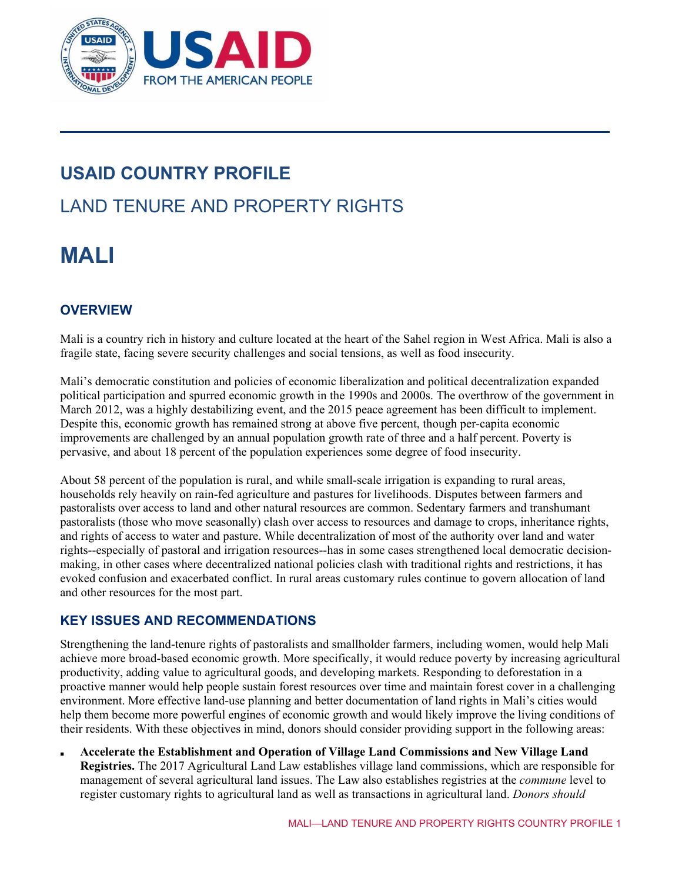

# **USAID COUNTRY PROFILE**

# LAND TENURE AND PROPERTY RIGHTS

# **MALI**

## **OVERVIEW**

Mali is a country rich in history and culture located at the heart of the Sahel region in West Africa. Mali is also a fragile state, facing severe security challenges and social tensions, as well as food insecurity.

Mali's democratic constitution and policies of economic liberalization and political decentralization expanded political participation and spurred economic growth in the 1990s and 2000s. The overthrow of the government in March 2012, was a highly destabilizing event, and the 2015 peace agreement has been difficult to implement. Despite this, economic growth has remained strong at above five percent, though per-capita economic improvements are challenged by an annual population growth rate of three and a half percent. Poverty is pervasive, and about 18 percent of the population experiences some degree of food insecurity.

About 58 percent of the population is rural, and while small-scale irrigation is expanding to rural areas, households rely heavily on rain-fed agriculture and pastures for livelihoods. Disputes between farmers and pastoralists over access to land and other natural resources are common. Sedentary farmers and transhumant pastoralists (those who move seasonally) clash over access to resources and damage to crops, inheritance rights, and rights of access to water and pasture. While decentralization of most of the authority over land and water rights--especially of pastoral and irrigation resources--has in some cases strengthened local democratic decisionmaking, in other cases where decentralized national policies clash with traditional rights and restrictions, it has evoked confusion and exacerbated conflict. In rural areas customary rules continue to govern allocation of land and other resources for the most part.

## **KEY ISSUES AND RECOMMENDATIONS**

Strengthening the land-tenure rights of pastoralists and smallholder farmers, including women, would help Mali achieve more broad-based economic growth. More specifically, it would reduce poverty by increasing agricultural productivity, adding value to agricultural goods, and developing markets. Responding to deforestation in a proactive manner would help people sustain forest resources over time and maintain forest cover in a challenging environment. More effective land-use planning and better documentation of land rights in Mali's cities would help them become more powerful engines of economic growth and would likely improve the living conditions of their residents. With these objectives in mind, donors should consider providing support in the following areas:

■ **Accelerate the Establishment and Operation of Village Land Commissions and New Village Land Registries.** The 2017 Agricultural Land Law establishes village land commissions, which are responsible for management of several agricultural land issues. The Law also establishes registries at the *commune* level to register customary rights to agricultural land as well as transactions in agricultural land. *Donors should*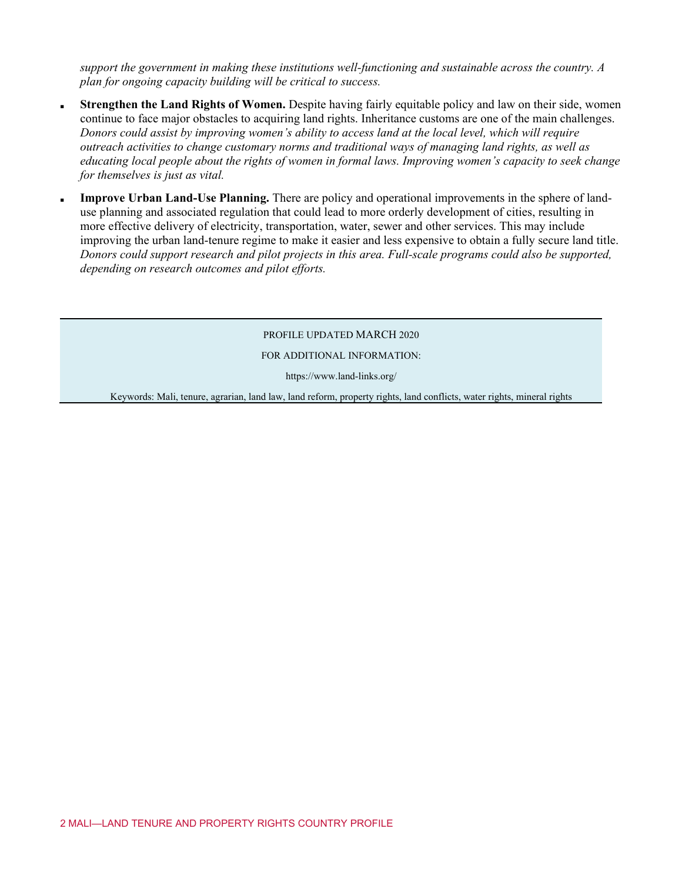*support the government in making these institutions well-functioning and sustainable across the country. A plan for ongoing capacity building will be critical to success.*

- Strengthen the Land Rights of Women. Despite having fairly equitable policy and law on their side, women continue to face major obstacles to acquiring land rights. Inheritance customs are one of the main challenges. *Donors could assist by improving women's ability to access land at the local level, which will require outreach activities to change customary norms and traditional ways of managing land rights, as well as educating local people about the rights of women in formal laws. Improving women's capacity to seek change for themselves is just as vital.*
- **Improve Urban Land-Use Planning.** There are policy and operational improvements in the sphere of landuse planning and associated regulation that could lead to more orderly development of cities, resulting in more effective delivery of electricity, transportation, water, sewer and other services. This may include improving the urban land-tenure regime to make it easier and less expensive to obtain a fully secure land title. *Donors could support research and pilot projects in this area. Full-scale programs could also be supported, depending on research outcomes and pilot efforts.*

#### PROFILE UPDATED MARCH 2020

#### FOR ADDITIONAL INFORMATION:

https://www.land-links.org/

Keywords: Mali, tenure, agrarian, land law, land reform, property rights, land conflicts, water rights, mineral rights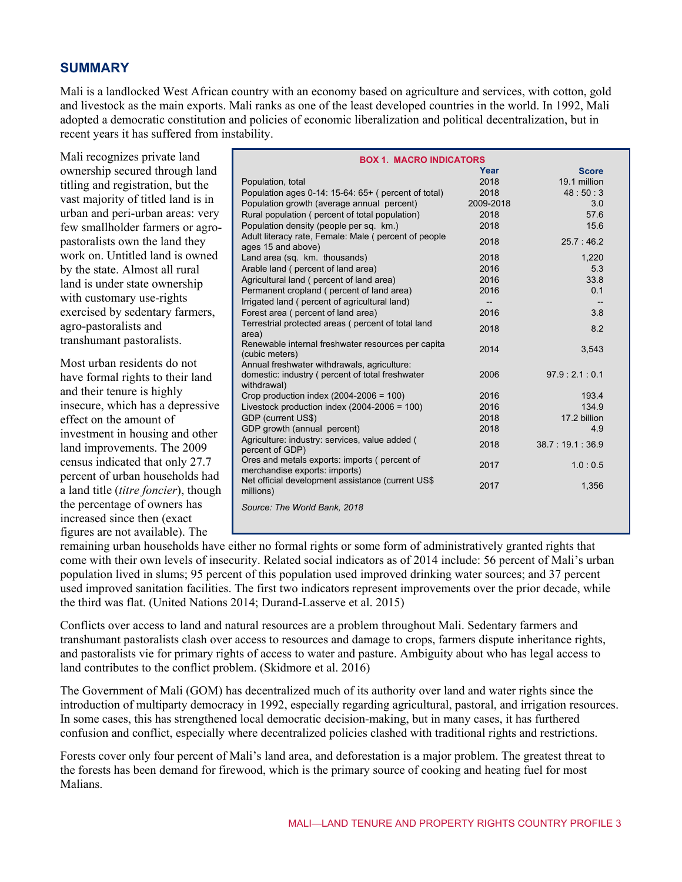#### **SUMMARY**

Mali is a landlocked West African country with an economy based on agriculture and services, with cotton, gold and livestock as the main exports. Mali ranks as one of the least developed countries in the world. In 1992, Mali adopted a democratic constitution and policies of economic liberalization and political decentralization, but in recent years it has suffered from instability.

Mali recognizes private land ownership secured through land titling and registration, but the vast majority of titled land is in urban and peri-urban areas: very few smallholder farmers or agropastoralists own the land they work on. Untitled land is owned by the state. Almost all rural land is under state ownership with customary use-rights exercised by sedentary farmers, agro-pastoralists and transhumant pastoralists.

Most urban residents do not have formal rights to their land and their tenure is highly insecure, which has a depressive effect on the amount of investment in housing and other land improvements. The 2009 census indicated that only 27.7 percent of urban households had a land title (*titre foncier*), though the percentage of owners has increased since then (exact figures are not available). The

| <b>BOX 1. MACRO INDICATORS</b>                                                     |                          |                |  |  |
|------------------------------------------------------------------------------------|--------------------------|----------------|--|--|
|                                                                                    | Year                     | <b>Score</b>   |  |  |
| Population, total                                                                  | 2018                     | 19.1 million   |  |  |
| Population ages 0-14: 15-64: 65+ (percent of total)                                | 2018                     | 48:50:3        |  |  |
| Population growth (average annual percent)                                         | 2009-2018                | 3.0            |  |  |
| Rural population ( percent of total population)                                    | 2018                     | 57.6           |  |  |
| Population density (people per sq. km.)                                            | 2018                     | 15.6           |  |  |
| Adult literacy rate, Female: Male (percent of people                               | 2018                     | 25.7:46.2      |  |  |
| ages 15 and above)                                                                 |                          |                |  |  |
| Land area (sq. km. thousands)                                                      | 2018                     | 1,220          |  |  |
| Arable land (percent of land area)                                                 | 2016                     | 5.3            |  |  |
| Agricultural land (percent of land area)                                           | 2016                     | 33.8           |  |  |
| Permanent cropland (percent of land area)                                          | 2016                     | 0.1            |  |  |
| Irrigated land (percent of agricultural land)                                      | $\overline{\phantom{a}}$ |                |  |  |
| Forest area (percent of land area)                                                 | 2016                     | 3.8            |  |  |
| Terrestrial protected areas (percent of total land                                 | 2018                     | 8.2            |  |  |
| area)                                                                              |                          |                |  |  |
| Renewable internal freshwater resources per capita<br>(cubic meters)               | 2014                     | 3,543          |  |  |
| Annual freshwater withdrawals, agriculture:                                        |                          |                |  |  |
| domestic: industry ( percent of total freshwater                                   | 2006                     | 97.9:2.1:0.1   |  |  |
| withdrawal)                                                                        |                          |                |  |  |
| Crop production index $(2004-2006 = 100)$                                          | 2016                     | 193.4          |  |  |
| Livestock production index $(2004-2006 = 100)$                                     | 2016                     | 134.9          |  |  |
| GDP (current US\$)                                                                 | 2018                     | 17.2 billion   |  |  |
| GDP growth (annual percent)                                                        | 2018                     | 4.9            |  |  |
| Agriculture: industry: services, value added (                                     | 2018                     | 38.7:19.1:36.9 |  |  |
| percent of GDP)                                                                    |                          |                |  |  |
| Ores and metals exports: imports (percent of                                       | 2017                     | 1.0:0.5        |  |  |
| merchandise exports: imports)<br>Net official development assistance (current US\$ |                          |                |  |  |
| millions)                                                                          | 2017                     | 1,356          |  |  |
| Source: The World Bank, 2018                                                       |                          |                |  |  |
|                                                                                    |                          |                |  |  |
|                                                                                    |                          |                |  |  |

remaining urban households have either no formal rights or some form of administratively granted rights that come with their own levels of insecurity. Related social indicators as of 2014 include: 56 percent of Mali's urban population lived in slums; 95 percent of this population used improved drinking water sources; and 37 percent used improved sanitation facilities. The first two indicators represent improvements over the prior decade, while the third was flat. (United Nations 2014; Durand-Lasserve et al. 2015)

Conflicts over access to land and natural resources are a problem throughout Mali. Sedentary farmers and transhumant pastoralists clash over access to resources and damage to crops, farmers dispute inheritance rights, and pastoralists vie for primary rights of access to water and pasture. Ambiguity about who has legal access to land contributes to the conflict problem. (Skidmore et al. 2016)

The Government of Mali (GOM) has decentralized much of its authority over land and water rights since the introduction of multiparty democracy in 1992, especially regarding agricultural, pastoral, and irrigation resources. In some cases, this has strengthened local democratic decision-making, but in many cases, it has furthered confusion and conflict, especially where decentralized policies clashed with traditional rights and restrictions.

Forests cover only four percent of Mali's land area, and deforestation is a major problem. The greatest threat to the forests has been demand for firewood, which is the primary source of cooking and heating fuel for most Malians.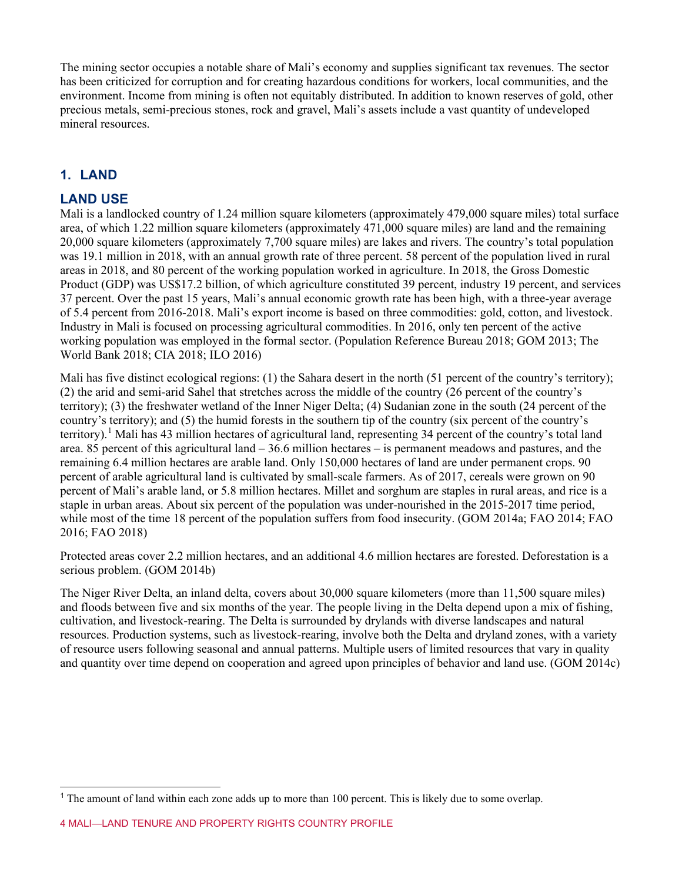The mining sector occupies a notable share of Mali's economy and supplies significant tax revenues. The sector has been criticized for corruption and for creating hazardous conditions for workers, local communities, and the environment. Income from mining is often not equitably distributed. In addition to known reserves of gold, other precious metals, semi-precious stones, rock and gravel, Mali's assets include a vast quantity of undeveloped mineral resources.

## **1. LAND**

#### **LAND USE**

Mali is a landlocked country of 1.24 million square kilometers (approximately 479,000 square miles) total surface area, of which 1.22 million square kilometers (approximately 471,000 square miles) are land and the remaining 20,000 square kilometers (approximately 7,700 square miles) are lakes and rivers. The country's total population was 19.1 million in 2018, with an annual growth rate of three percent. 58 percent of the population lived in rural areas in 2018, and 80 percent of the working population worked in agriculture. In 2018, the Gross Domestic Product (GDP) was US\$17.2 billion, of which agriculture constituted 39 percent, industry 19 percent, and services 37 percent. Over the past 15 years, Mali's annual economic growth rate has been high, with a three-year average of 5.4 percent from 2016-2018. Mali's export income is based on three commodities: gold, cotton, and livestock. Industry in Mali is focused on processing agricultural commodities. In 2016, only ten percent of the active working population was employed in the formal sector. (Population Reference Bureau 2018; GOM 2013; The World Bank 2018; CIA 2018; ILO 2016)

Mali has five distinct ecological regions: (1) the Sahara desert in the north (51 percent of the country's territory); (2) the arid and semi-arid Sahel that stretches across the middle of the country (26 percent of the country's territory); (3) the freshwater wetland of the Inner Niger Delta; (4) Sudanian zone in the south (24 percent of the country's territory); and (5) the humid forests in the southern tip of the country (six percent of the country's territory).<sup>[1](#page-3-0)</sup> Mali has 43 million hectares of agricultural land, representing 34 percent of the country's total land area. 85 percent of this agricultural land – 36.6 million hectares – is permanent meadows and pastures, and the remaining 6.4 million hectares are arable land. Only 150,000 hectares of land are under permanent crops. 90 percent of arable agricultural land is cultivated by small-scale farmers. As of 2017, cereals were grown on 90 percent of Mali's arable land, or 5.8 million hectares. Millet and sorghum are staples in rural areas, and rice is a staple in urban areas. About six percent of the population was under-nourished in the 2015-2017 time period, while most of the time 18 percent of the population suffers from food insecurity. (GOM 2014a; FAO 2014; FAO 2016; FAO 2018)

Protected areas cover 2.2 million hectares, and an additional 4.6 million hectares are forested. Deforestation is a serious problem. (GOM 2014b)

The Niger River Delta, an inland delta, covers about 30,000 square kilometers (more than 11,500 square miles) and floods between five and six months of the year. The people living in the Delta depend upon a mix of fishing, cultivation, and livestock-rearing. The Delta is surrounded by drylands with diverse landscapes and natural resources. Production systems, such as livestock-rearing, involve both the Delta and dryland zones, with a variety of resource users following seasonal and annual patterns. Multiple users of limited resources that vary in quality and quantity over time depend on cooperation and agreed upon principles of behavior and land use. (GOM 2014c)

<span id="page-3-0"></span><sup>1</sup> The amount of land within each zone adds up to more than 100 percent. This is likely due to some overlap.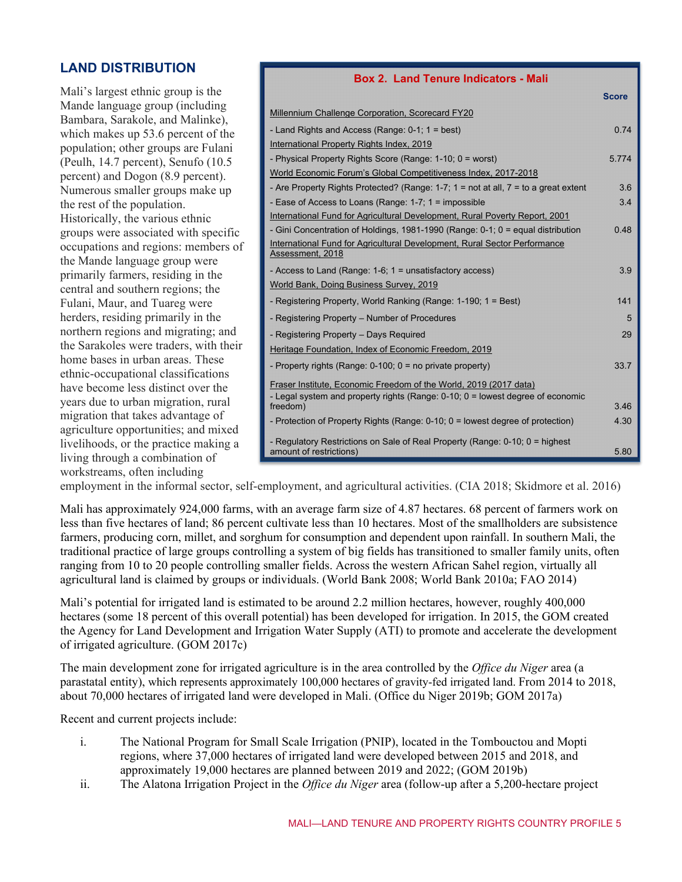#### **LAND DISTRIBUTION**

Mali's largest ethnic group is the Mande language group (including Bambara, Sarakole, and Malinke), which makes up 53.6 percent of the population; other groups are Fulani (Peulh, 14.7 percent), Senufo (10.5 percent) and Dogon (8.9 percent). Numerous smaller groups make up the rest of the population. Historically, the various ethnic groups were associated with specific occupations and regions: members of the Mande language group were primarily farmers, residing in the central and southern regions; the Fulani, Maur, and Tuareg were herders, residing primarily in the northern regions and migrating; and the Sarakoles were traders, with their home bases in urban areas. These ethnic-occupational classifications have become less distinct over the years due to urban migration, rural migration that takes advantage of agriculture opportunities; and mixed livelihoods, or the practice making a living through a combination of workstreams, often including

| <b>Box 2. Land Tenure Indicators - Mali</b>                                         |              |
|-------------------------------------------------------------------------------------|--------------|
|                                                                                     | <b>Score</b> |
| Millennium Challenge Corporation, Scorecard FY20                                    |              |
| - Land Rights and Access (Range: 0-1; 1 = best)                                     | 0.74         |
| International Property Rights Index, 2019                                           |              |
| - Physical Property Rights Score (Range: 1-10; 0 = worst)                           | 5.774        |
| World Economic Forum's Global Competitiveness Index, 2017-2018                      |              |
| - Are Property Rights Protected? (Range: 1-7; 1 = not at all, 7 = to a great extent | 3.6          |
| - Ease of Access to Loans (Range: 1-7; 1 = impossible                               | 3.4          |
| International Fund for Agricultural Development, Rural Poverty Report, 2001         |              |
| - Gini Concentration of Holdings, 1981-1990 (Range: 0-1; 0 = equal distribution     | 0.48         |
| International Fund for Agricultural Development, Rural Sector Performance           |              |
| Assessment, 2018                                                                    |              |
| - Access to Land (Range: 1-6; 1 = unsatisfactory access)                            | 3.9          |
| World Bank, Doing Business Survey, 2019                                             |              |
| - Registering Property, World Ranking (Range: 1-190; 1 = Best)                      | 141          |
| - Registering Property – Number of Procedures                                       | 5            |
| - Registering Property - Days Reguired                                              | 29           |
| Heritage Foundation, Index of Economic Freedom, 2019                                |              |
| - Property rights (Range: 0-100; 0 = no private property)                           | 33.7         |
| Fraser Institute, Economic Freedom of the World, 2019 (2017 data)                   |              |
| - Legal system and property rights (Range: 0-10; 0 = lowest degree of economic      |              |
| freedom)                                                                            | 3.46         |
| - Protection of Property Rights (Range: 0-10; 0 = lowest degree of protection)      | 4.30         |
| - Regulatory Restrictions on Sale of Real Property (Range: 0-10; 0 = highest        |              |
| amount of restrictions)                                                             | 5.80         |

employment in the informal sector, self-employment, and agricultural activities. (CIA 2018; Skidmore et al. 2016)

Mali has approximately 924,000 farms, with an average farm size of 4.87 hectares. 68 percent of farmers work on less than five hectares of land; 86 percent cultivate less than 10 hectares. Most of the smallholders are subsistence farmers, producing corn, millet, and sorghum for consumption and dependent upon rainfall. In southern Mali, the traditional practice of large groups controlling a system of big fields has transitioned to smaller family units, often ranging from 10 to 20 people controlling smaller fields. Across the western African Sahel region, virtually all agricultural land is claimed by groups or individuals. (World Bank 2008; World Bank 2010a; FAO 2014)

Mali's potential for irrigated land is estimated to be around 2.2 million hectares, however, roughly 400,000 hectares (some 18 percent of this overall potential) has been developed for irrigation. In 2015, the GOM created the Agency for Land Development and Irrigation Water Supply (ATI) to promote and accelerate the development of irrigated agriculture. (GOM 2017c)

The main development zone for irrigated agriculture is in the area controlled by the *Office du Niger* area (a parastatal entity), which represents approximately 100,000 hectares of gravity-fed irrigated land. From 2014 to 2018, about 70,000 hectares of irrigated land were developed in Mali. (Office du Niger 2019b; GOM 2017a)

Recent and current projects include:

- i. The National Program for Small Scale Irrigation (PNIP), located in the Tombouctou and Mopti regions, where 37,000 hectares of irrigated land were developed between 2015 and 2018, and approximately 19,000 hectares are planned between 2019 and 2022; (GOM 2019b)
- ii. The Alatona Irrigation Project in the *Office du Niger* area (follow-up after a 5,200-hectare project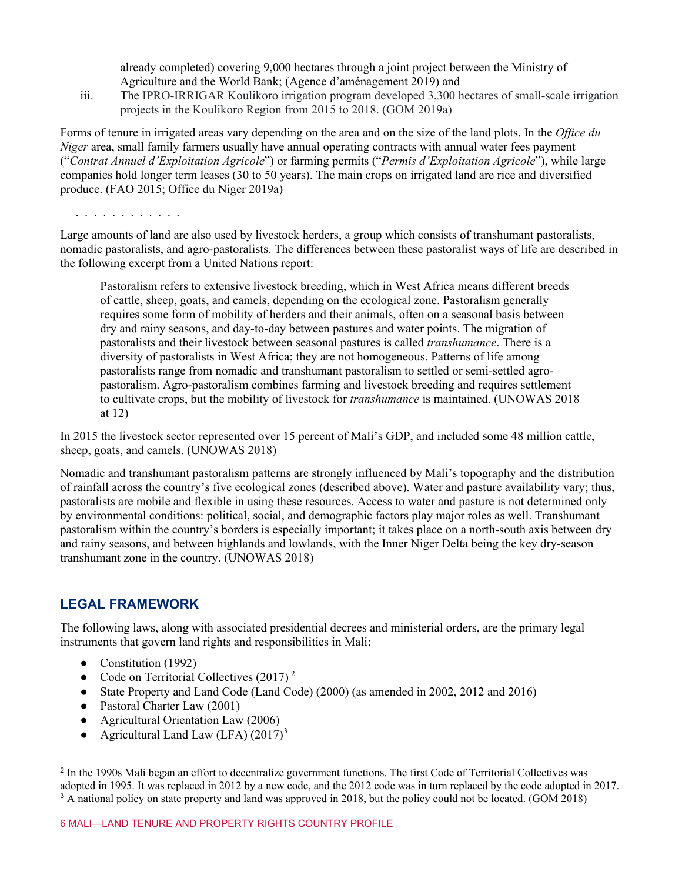already completed) covering 9,000 hectares through a joint project between the Ministry of Agriculture and the World Bank; (Agence d'aménagement 2019) and

iii. The IPRO-IRRIGAR Koulikoro irrigation program developed 3,300 hectares of small-scale irrigation projects in the Koulikoro Region from 2015 to 2018. (GOM 2019a)

Forms of tenure in irrigated areas vary depending on the area and on the size of the land plots. In the *Office du Niger* area, small family farmers usually have annual operating contracts with annual water fees payment ("*Contrat Annuel d'Exploitation Agricole*") or farming permits ("*Permis d'Exploitation Agricole*"), while large companies hold longer term leases (30 to 50 years). The main crops on irrigated land are rice and diversified produce. (FAO 2015; Office du Niger 2019a)

. . . . . . . . . . . .

Large amounts of land are also used by livestock herders, a group which consists of transhumant pastoralists, nomadic pastoralists, and agro-pastoralists. The differences between these pastoralist ways of life are described in the following excerpt from a United Nations report:

Pastoralism refers to extensive livestock breeding, which in West Africa means different breeds of cattle, sheep, goats, and camels, depending on the ecological zone. Pastoralism generally requires some form of mobility of herders and their animals, often on a seasonal basis between dry and rainy seasons, and day-to-day between pastures and water points. The migration of pastoralists and their livestock between seasonal pastures is called *transhumance*. There is a diversity of pastoralists in West Africa; they are not homogeneous. Patterns of life among pastoralists range from nomadic and transhumant pastoralism to settled or semi-settled agropastoralism. Agro-pastoralism combines farming and livestock breeding and requires settlement to cultivate crops, but the mobility of livestock for *transhumance* is maintained. (UNOWAS 2018 at 12)

In 2015 the livestock sector represented over 15 percent of Mali's GDP, and included some 48 million cattle, sheep, goats, and camels. (UNOWAS 2018)

Nomadic and transhumant pastoralism patterns are strongly influenced by Mali's topography and the distribution of rainfall across the country's five ecological zones (described above). Water and pasture availability vary; thus, pastoralists are mobile and flexible in using these resources. Access to water and pasture is not determined only by environmental conditions: political, social, and demographic factors play major roles as well. Transhumant pastoralism within the country's borders is especially important; it takes place on a north-south axis between dry and rainy seasons, and between highlands and lowlands, with the Inner Niger Delta being the key dry-season transhumant zone in the country. (UNOWAS 2018)

#### **LEGAL FRAMEWORK**

The following laws, along with associated presidential decrees and ministerial orders, are the primary legal instruments that govern land rights and responsibilities in Mali:

- Constitution (1992)
- Code on Territorial Collectives  $(2017)^2$  $(2017)^2$  $(2017)^2$
- State Property and Land Code (Land Code) (2000) (as amended in 2002, 2012 and 2016)
- Pastoral Charter Law (2001)
- Agricultural Orientation Law (2006)
- Agricultural Land Law (LFA)  $(2017)^3$  $(2017)^3$

<span id="page-5-1"></span><span id="page-5-0"></span><sup>2</sup> In the 1990s Mali began an effort to decentralize government functions. The first Code of Territorial Collectives was adopted in 1995. It was replaced in 2012 by a new code, and the 2012 code was in turn replaced by the code adopted in 2017. <sup>3</sup> A national policy on state property and land was approved in 2018, but the policy could not be located. (GOM 2018)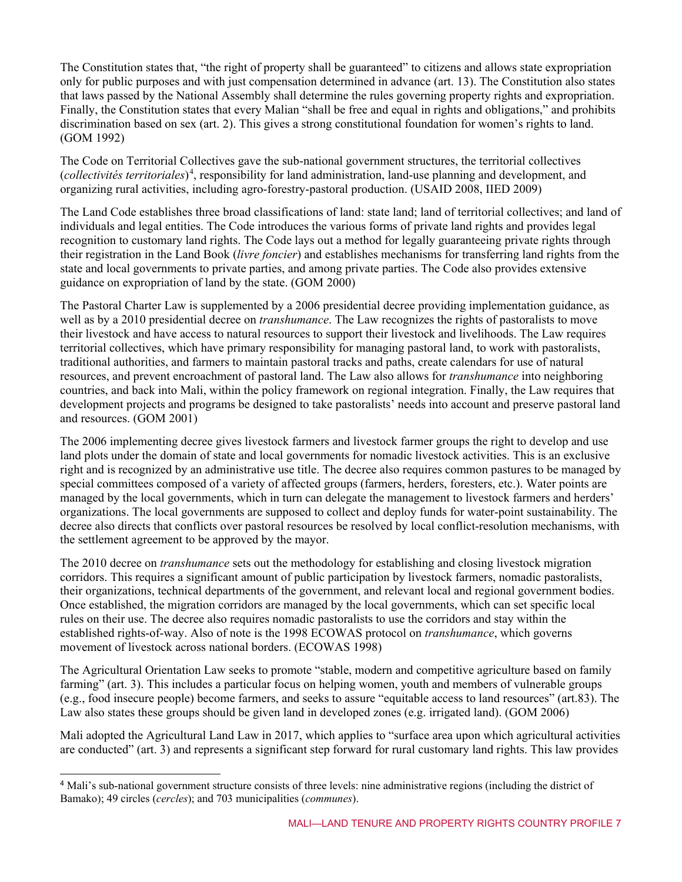The Constitution states that, "the right of property shall be guaranteed" to citizens and allows state expropriation only for public purposes and with just compensation determined in advance (art. 13). The Constitution also states that laws passed by the National Assembly shall determine the rules governing property rights and expropriation. Finally, the Constitution states that every Malian "shall be free and equal in rights and obligations," and prohibits discrimination based on sex (art. 2). This gives a strong constitutional foundation for women's rights to land. (GOM 1992)

The Code on Territorial Collectives gave the sub-national government structures, the territorial collectives (*collectivités territoriales*) [4](#page-6-0) , responsibility for land administration, land-use planning and development, and organizing rural activities, including agro-forestry-pastoral production. (USAID 2008, IIED 2009)

The Land Code establishes three broad classifications of land: state land; land of territorial collectives; and land of individuals and legal entities. The Code introduces the various forms of private land rights and provides legal recognition to customary land rights. The Code lays out a method for legally guaranteeing private rights through their registration in the Land Book (*livre foncier*) and establishes mechanisms for transferring land rights from the state and local governments to private parties, and among private parties. The Code also provides extensive guidance on expropriation of land by the state. (GOM 2000)

The Pastoral Charter Law is supplemented by a 2006 presidential decree providing implementation guidance, as well as by a 2010 presidential decree on *transhumance*. The Law recognizes the rights of pastoralists to move their livestock and have access to natural resources to support their livestock and livelihoods. The Law requires territorial collectives, which have primary responsibility for managing pastoral land, to work with pastoralists, traditional authorities, and farmers to maintain pastoral tracks and paths, create calendars for use of natural resources, and prevent encroachment of pastoral land. The Law also allows for *transhumance* into neighboring countries, and back into Mali, within the policy framework on regional integration. Finally, the Law requires that development projects and programs be designed to take pastoralists' needs into account and preserve pastoral land and resources. (GOM 2001)

The 2006 implementing decree gives livestock farmers and livestock farmer groups the right to develop and use land plots under the domain of state and local governments for nomadic livestock activities. This is an exclusive right and is recognized by an administrative use title. The decree also requires common pastures to be managed by special committees composed of a variety of affected groups (farmers, herders, foresters, etc.). Water points are managed by the local governments, which in turn can delegate the management to livestock farmers and herders' organizations. The local governments are supposed to collect and deploy funds for water-point sustainability. The decree also directs that conflicts over pastoral resources be resolved by local conflict-resolution mechanisms, with the settlement agreement to be approved by the mayor.

The 2010 decree on *transhumance* sets out the methodology for establishing and closing livestock migration corridors. This requires a significant amount of public participation by livestock farmers, nomadic pastoralists, their organizations, technical departments of the government, and relevant local and regional government bodies. Once established, the migration corridors are managed by the local governments, which can set specific local rules on their use. The decree also requires nomadic pastoralists to use the corridors and stay within the established rights-of-way. Also of note is the 1998 ECOWAS protocol on *transhumance*, which governs movement of livestock across national borders. (ECOWAS 1998)

The Agricultural Orientation Law seeks to promote "stable, modern and competitive agriculture based on family farming" (art. 3). This includes a particular focus on helping women, youth and members of vulnerable groups (e.g., food insecure people) become farmers, and seeks to assure "equitable access to land resources" (art.83). The Law also states these groups should be given land in developed zones (e.g. irrigated land). (GOM 2006)

Mali adopted the Agricultural Land Law in 2017, which applies to "surface area upon which agricultural activities are conducted" (art. 3) and represents a significant step forward for rural customary land rights. This law provides

<span id="page-6-0"></span><sup>&</sup>lt;sup>4</sup> Mali's sub-national government structure consists of three levels: nine administrative regions (including the district of Bamako); 49 circles (*cercles*); and 703 municipalities (*communes*).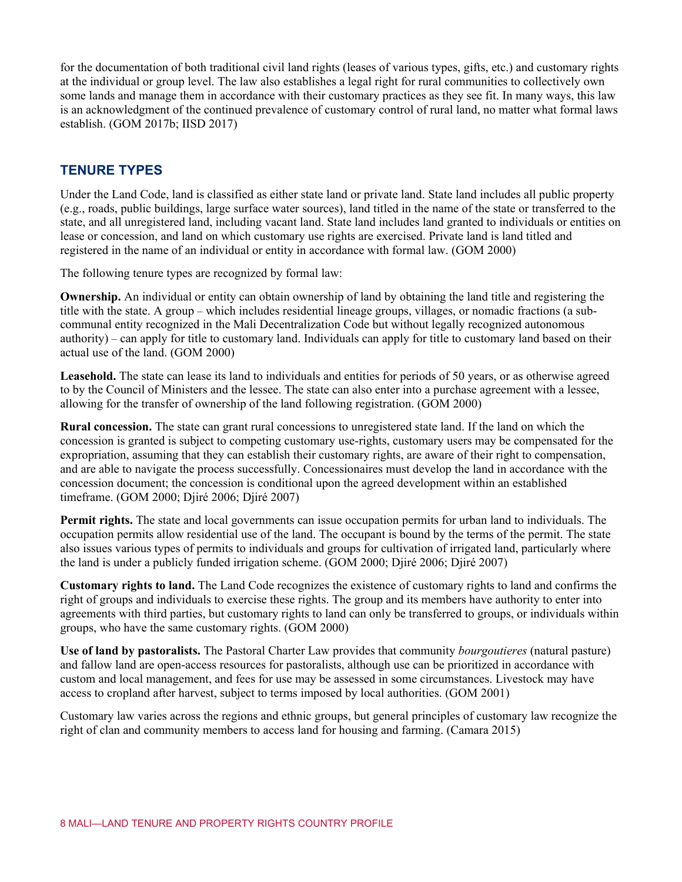for the documentation of both traditional civil land rights (leases of various types, gifts, etc.) and customary rights at the individual or group level. The law also establishes a legal right for rural communities to collectively own some lands and manage them in accordance with their customary practices as they see fit. In many ways, this law is an acknowledgment of the continued prevalence of customary control of rural land, no matter what formal laws establish. (GOM 2017b; IISD 2017)

#### **TENURE TYPES**

Under the Land Code, land is classified as either state land or private land. State land includes all public property (e.g., roads, public buildings, large surface water sources), land titled in the name of the state or transferred to the state, and all unregistered land, including vacant land. State land includes land granted to individuals or entities on lease or concession, and land on which customary use rights are exercised. Private land is land titled and registered in the name of an individual or entity in accordance with formal law. (GOM 2000)

The following tenure types are recognized by formal law:

**Ownership.** An individual or entity can obtain ownership of land by obtaining the land title and registering the title with the state. A group – which includes residential lineage groups, villages, or nomadic fractions (a subcommunal entity recognized in the Mali Decentralization Code but without legally recognized autonomous authority) – can apply for title to customary land. Individuals can apply for title to customary land based on their actual use of the land. (GOM 2000)

**Leasehold.** The state can lease its land to individuals and entities for periods of 50 years, or as otherwise agreed to by the Council of Ministers and the lessee. The state can also enter into a purchase agreement with a lessee, allowing for the transfer of ownership of the land following registration. (GOM 2000)

**Rural concession.** The state can grant rural concessions to unregistered state land. If the land on which the concession is granted is subject to competing customary use-rights, customary users may be compensated for the expropriation, assuming that they can establish their customary rights, are aware of their right to compensation, and are able to navigate the process successfully. Concessionaires must develop the land in accordance with the concession document; the concession is conditional upon the agreed development within an established timeframe. (GOM 2000; Djiré 2006; Djiré 2007)

**Permit rights.** The state and local governments can issue occupation permits for urban land to individuals. The occupation permits allow residential use of the land. The occupant is bound by the terms of the permit. The state also issues various types of permits to individuals and groups for cultivation of irrigated land, particularly where the land is under a publicly funded irrigation scheme. (GOM 2000; Djiré 2006; Djiré 2007)

**Customary rights to land.** The Land Code recognizes the existence of customary rights to land and confirms the right of groups and individuals to exercise these rights. The group and its members have authority to enter into agreements with third parties, but customary rights to land can only be transferred to groups, or individuals within groups, who have the same customary rights. (GOM 2000)

**Use of land by pastoralists.** The Pastoral Charter Law provides that community *bourgoutieres* (natural pasture) and fallow land are open-access resources for pastoralists, although use can be prioritized in accordance with custom and local management, and fees for use may be assessed in some circumstances. Livestock may have access to cropland after harvest, subject to terms imposed by local authorities. (GOM 2001)

Customary law varies across the regions and ethnic groups, but general principles of customary law recognize the right of clan and community members to access land for housing and farming. (Camara 2015)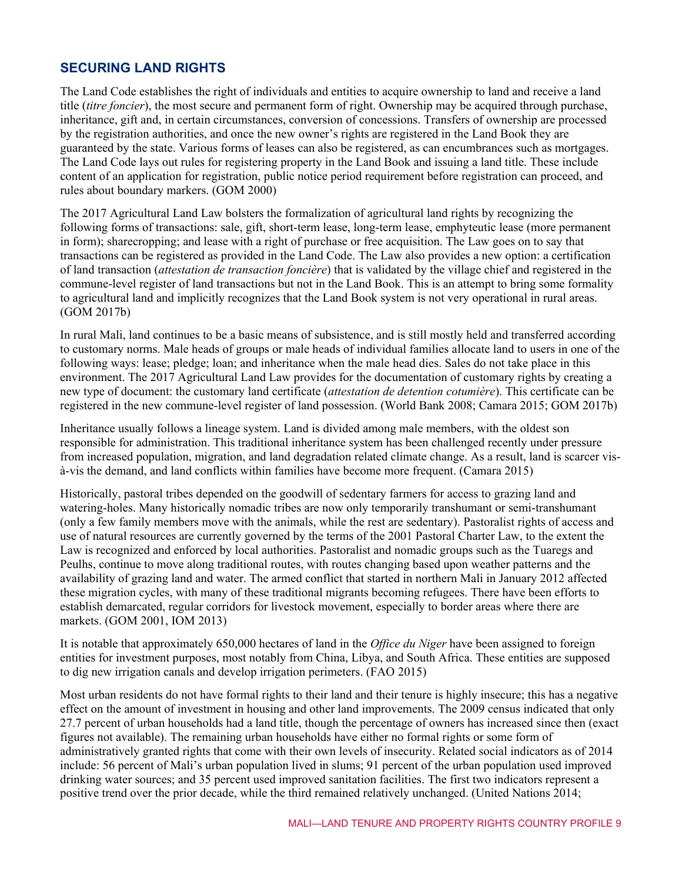#### **SECURING LAND RIGHTS**

The Land Code establishes the right of individuals and entities to acquire ownership to land and receive a land title (*titre foncier*), the most secure and permanent form of right. Ownership may be acquired through purchase, inheritance, gift and, in certain circumstances, conversion of concessions. Transfers of ownership are processed by the registration authorities, and once the new owner's rights are registered in the Land Book they are guaranteed by the state. Various forms of leases can also be registered, as can encumbrances such as mortgages. The Land Code lays out rules for registering property in the Land Book and issuing a land title. These include content of an application for registration, public notice period requirement before registration can proceed, and rules about boundary markers. (GOM 2000)

The 2017 Agricultural Land Law bolsters the formalization of agricultural land rights by recognizing the following forms of transactions: sale, gift, short-term lease, long-term lease, emphyteutic lease (more permanent in form); sharecropping; and lease with a right of purchase or free acquisition. The Law goes on to say that transactions can be registered as provided in the Land Code. The Law also provides a new option: a certification of land transaction (*attestation de transaction foncière*) that is validated by the village chief and registered in the commune-level register of land transactions but not in the Land Book. This is an attempt to bring some formality to agricultural land and implicitly recognizes that the Land Book system is not very operational in rural areas. (GOM 2017b)

In rural Mali, land continues to be a basic means of subsistence, and is still mostly held and transferred according to customary norms. Male heads of groups or male heads of individual families allocate land to users in one of the following ways: lease; pledge; loan; and inheritance when the male head dies. Sales do not take place in this environment. The 2017 Agricultural Land Law provides for the documentation of customary rights by creating a new type of document: the customary land certificate (*attestation de detention cotumière*). This certificate can be registered in the new commune-level register of land possession. (World Bank 2008; Camara 2015; GOM 2017b)

Inheritance usually follows a lineage system. Land is divided among male members, with the oldest son responsible for administration. This traditional inheritance system has been challenged recently under pressure from increased population, migration, and land degradation related climate change. As a result, land is scarcer visà-vis the demand, and land conflicts within families have become more frequent. (Camara 2015)

Historically, pastoral tribes depended on the goodwill of sedentary farmers for access to grazing land and watering-holes. Many historically nomadic tribes are now only temporarily transhumant or semi-transhumant (only a few family members move with the animals, while the rest are sedentary). Pastoralist rights of access and use of natural resources are currently governed by the terms of the 2001 Pastoral Charter Law, to the extent the Law is recognized and enforced by local authorities. Pastoralist and nomadic groups such as the Tuaregs and Peulhs, continue to move along traditional routes, with routes changing based upon weather patterns and the availability of grazing land and water. The armed conflict that started in northern Mali in January 2012 affected these migration cycles, with many of these traditional migrants becoming refugees. There have been efforts to establish demarcated, regular corridors for livestock movement, especially to border areas where there are markets. (GOM 2001, IOM 2013)

It is notable that approximately 650,000 hectares of land in the *Office du Niger* have been assigned to foreign entities for investment purposes, most notably from China, Libya, and South Africa. These entities are supposed to dig new irrigation canals and develop irrigation perimeters. (FAO 2015)

Most urban residents do not have formal rights to their land and their tenure is highly insecure; this has a negative effect on the amount of investment in housing and other land improvements. The 2009 census indicated that only 27.7 percent of urban households had a land title, though the percentage of owners has increased since then (exact figures not available). The remaining urban households have either no formal rights or some form of administratively granted rights that come with their own levels of insecurity. Related social indicators as of 2014 include: 56 percent of Mali's urban population lived in slums; 91 percent of the urban population used improved drinking water sources; and 35 percent used improved sanitation facilities. The first two indicators represent a positive trend over the prior decade, while the third remained relatively unchanged. (United Nations 2014;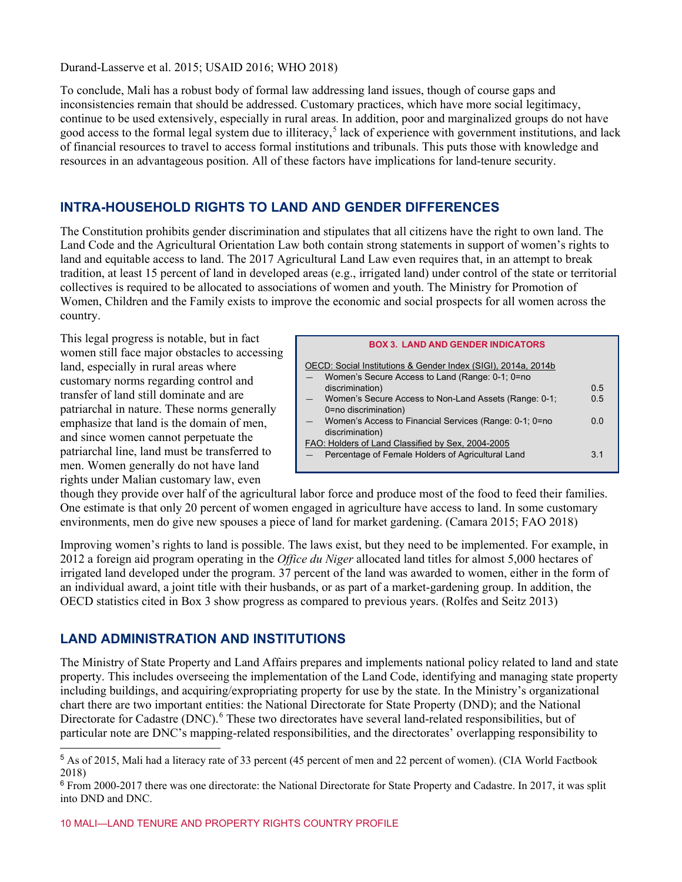#### Durand-Lasserve et al. 2015; USAID 2016; WHO 2018)

To conclude, Mali has a robust body of formal law addressing land issues, though of course gaps and inconsistencies remain that should be addressed. Customary practices, which have more social legitimacy, continue to be used extensively, especially in rural areas. In addition, poor and marginalized groups do not have good access to the formal legal system due to illiteracy,<sup>[5](#page-9-0)</sup> lack of experience with government institutions, and lack of financial resources to travel to access formal institutions and tribunals. This puts those with knowledge and resources in an advantageous position. All of these factors have implications for land-tenure security.

#### **INTRA-HOUSEHOLD RIGHTS TO LAND AND GENDER DIFFERENCES**

The Constitution prohibits gender discrimination and stipulates that all citizens have the right to own land. The Land Code and the Agricultural Orientation Law both contain strong statements in support of women's rights to land and equitable access to land. The 2017 Agricultural Land Law even requires that, in an attempt to break tradition, at least 15 percent of land in developed areas (e.g., irrigated land) under control of the state or territorial collectives is required to be allocated to associations of women and youth. The Ministry for Promotion of Women, Children and the Family exists to improve the economic and social prospects for all women across the country.

This legal progress is notable, but in fact women still face major obstacles to accessing land, especially in rural areas where customary norms regarding control and transfer of land still dominate and are patriarchal in nature. These norms generally emphasize that land is the domain of men, and since women cannot perpetuate the patriarchal line, land must be transferred to men. Women generally do not have land rights under Malian customary law, even

|                          | <b>BOX 3. LAND AND GENDER INDICATORS</b>                      |                |
|--------------------------|---------------------------------------------------------------|----------------|
|                          | OECD: Social Institutions & Gender Index (SIGI), 2014a, 2014b |                |
|                          | Women's Secure Access to Land (Range: 0-1; 0=no               |                |
|                          | discrimination)                                               | 0.5            |
| $\overline{\phantom{0}}$ | Women's Secure Access to Non-Land Assets (Range: 0-1;         | 0.5            |
|                          | 0=no discrimination)                                          |                |
|                          | Women's Access to Financial Services (Range: 0-1; 0=no        | 0 <sub>0</sub> |
|                          | discrimination)                                               |                |
|                          | FAO: Holders of Land Classified by Sex, 2004-2005             |                |
|                          | Percentage of Female Holders of Agricultural Land             | 3 <sub>1</sub> |
|                          |                                                               |                |

though they provide over half of the agricultural labor force and produce most of the food to feed their families. One estimate is that only 20 percent of women engaged in agriculture have access to land. In some customary environments, men do give new spouses a piece of land for market gardening. (Camara 2015; FAO 2018)

Improving women's rights to land is possible. The laws exist, but they need to be implemented. For example, in 2012 a foreign aid program operating in the *Office du Niger* allocated land titles for almost 5,000 hectares of irrigated land developed under the program. 37 percent of the land was awarded to women, either in the form of an individual award, a joint title with their husbands, or as part of a market-gardening group. In addition, the OECD statistics cited in Box 3 show progress as compared to previous years. (Rolfes and Seitz 2013)

#### **LAND ADMINISTRATION AND INSTITUTIONS**

The Ministry of State Property and Land Affairs prepares and implements national policy related to land and state property. This includes overseeing the implementation of the Land Code, identifying and managing state property including buildings, and acquiring/expropriating property for use by the state. In the Ministry's organizational chart there are two important entities: the National Directorate for State Property (DND); and the National Directorate for Cadastre (DNC).<sup>[6](#page-9-1)</sup> These two directorates have several land-related responsibilities, but of particular note are DNC's mapping-related responsibilities, and the directorates' overlapping responsibility to

<span id="page-9-0"></span><sup>5</sup> As of 2015, Mali had a literacy rate of 33 percent (45 percent of men and 22 percent of women). (CIA World Factbook 2018)

<span id="page-9-1"></span> $6$  From 2000-2017 there was one directorate: the National Directorate for State Property and Cadastre. In 2017, it was split into DND and DNC.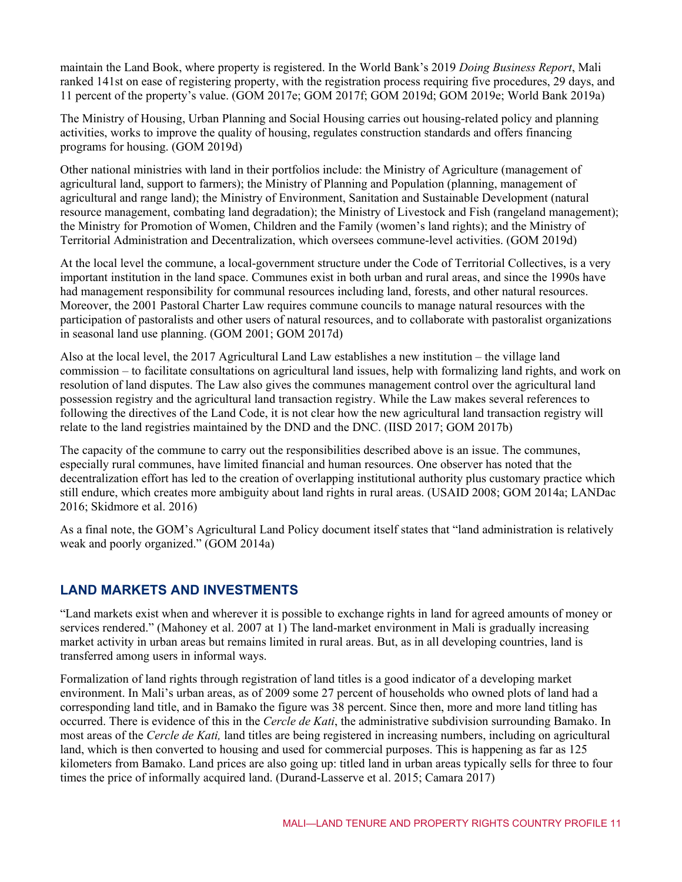maintain the Land Book, where property is registered. In the World Bank's 2019 *Doing Business Report*, Mali ranked 141st on ease of registering property, with the registration process requiring five procedures, 29 days, and 11 percent of the property's value. (GOM 2017e; GOM 2017f; GOM 2019d; GOM 2019e; World Bank 2019a)

The Ministry of Housing, Urban Planning and Social Housing carries out housing-related policy and planning activities, works to improve the quality of housing, regulates construction standards and offers financing programs for housing. (GOM 2019d)

Other national ministries with land in their portfolios include: the Ministry of Agriculture (management of agricultural land, support to farmers); the Ministry of Planning and Population (planning, management of agricultural and range land); the Ministry of Environment, Sanitation and Sustainable Development (natural resource management, combating land degradation); the Ministry of Livestock and Fish (rangeland management); the Ministry for Promotion of Women, Children and the Family (women's land rights); and the Ministry of Territorial Administration and Decentralization, which oversees commune-level activities. (GOM 2019d)

At the local level the commune, a local-government structure under the Code of Territorial Collectives, is a very important institution in the land space. Communes exist in both urban and rural areas, and since the 1990s have had management responsibility for communal resources including land, forests, and other natural resources. Moreover, the 2001 Pastoral Charter Law requires commune councils to manage natural resources with the participation of pastoralists and other users of natural resources, and to collaborate with pastoralist organizations in seasonal land use planning. (GOM 2001; GOM 2017d)

Also at the local level, the 2017 Agricultural Land Law establishes a new institution – the village land commission – to facilitate consultations on agricultural land issues, help with formalizing land rights, and work on resolution of land disputes. The Law also gives the communes management control over the agricultural land possession registry and the agricultural land transaction registry. While the Law makes several references to following the directives of the Land Code, it is not clear how the new agricultural land transaction registry will relate to the land registries maintained by the DND and the DNC. (IISD 2017; GOM 2017b)

The capacity of the commune to carry out the responsibilities described above is an issue. The communes, especially rural communes, have limited financial and human resources. One observer has noted that the decentralization effort has led to the creation of overlapping institutional authority plus customary practice which still endure, which creates more ambiguity about land rights in rural areas. (USAID 2008; GOM 2014a; LANDac 2016; Skidmore et al. 2016)

As a final note, the GOM's Agricultural Land Policy document itself states that "land administration is relatively weak and poorly organized." (GOM 2014a)

#### **LAND MARKETS AND INVESTMENTS**

"Land markets exist when and wherever it is possible to exchange rights in land for agreed amounts of money or services rendered." (Mahoney et al. 2007 at 1) The land-market environment in Mali is gradually increasing market activity in urban areas but remains limited in rural areas. But, as in all developing countries, land is transferred among users in informal ways.

Formalization of land rights through registration of land titles is a good indicator of a developing market environment. In Mali's urban areas, as of 2009 some 27 percent of households who owned plots of land had a corresponding land title, and in Bamako the figure was 38 percent. Since then, more and more land titling has occurred. There is evidence of this in the *Cercle de Kati*, the administrative subdivision surrounding Bamako. In most areas of the *Cercle de Kati,* land titles are being registered in increasing numbers, including on agricultural land, which is then converted to housing and used for commercial purposes. This is happening as far as 125 kilometers from Bamako. Land prices are also going up: titled land in urban areas typically sells for three to four times the price of informally acquired land. (Durand-Lasserve et al. 2015; Camara 2017)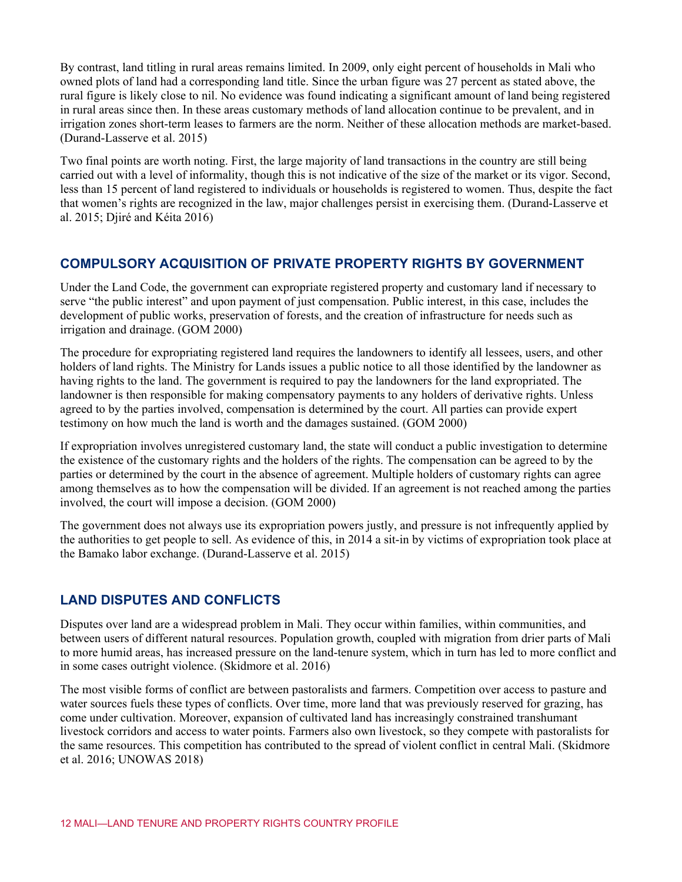By contrast, land titling in rural areas remains limited. In 2009, only eight percent of households in Mali who owned plots of land had a corresponding land title. Since the urban figure was 27 percent as stated above, the rural figure is likely close to nil. No evidence was found indicating a significant amount of land being registered in rural areas since then. In these areas customary methods of land allocation continue to be prevalent, and in irrigation zones short-term leases to farmers are the norm. Neither of these allocation methods are market-based. (Durand-Lasserve et al. 2015)

Two final points are worth noting. First, the large majority of land transactions in the country are still being carried out with a level of informality, though this is not indicative of the size of the market or its vigor. Second, less than 15 percent of land registered to individuals or households is registered to women. Thus, despite the fact that women's rights are recognized in the law, major challenges persist in exercising them. (Durand-Lasserve et al. 2015; Djiré and Kéita 2016)

#### **COMPULSORY ACQUISITION OF PRIVATE PROPERTY RIGHTS BY GOVERNMENT**

Under the Land Code, the government can expropriate registered property and customary land if necessary to serve "the public interest" and upon payment of just compensation. Public interest, in this case, includes the development of public works, preservation of forests, and the creation of infrastructure for needs such as irrigation and drainage. (GOM 2000)

The procedure for expropriating registered land requires the landowners to identify all lessees, users, and other holders of land rights. The Ministry for Lands issues a public notice to all those identified by the landowner as having rights to the land. The government is required to pay the landowners for the land expropriated. The landowner is then responsible for making compensatory payments to any holders of derivative rights. Unless agreed to by the parties involved, compensation is determined by the court. All parties can provide expert testimony on how much the land is worth and the damages sustained. (GOM 2000)

If expropriation involves unregistered customary land, the state will conduct a public investigation to determine the existence of the customary rights and the holders of the rights. The compensation can be agreed to by the parties or determined by the court in the absence of agreement. Multiple holders of customary rights can agree among themselves as to how the compensation will be divided. If an agreement is not reached among the parties involved, the court will impose a decision. (GOM 2000)

The government does not always use its expropriation powers justly, and pressure is not infrequently applied by the authorities to get people to sell. As evidence of this, in 2014 a sit-in by victims of expropriation took place at the Bamako labor exchange. (Durand-Lasserve et al. 2015)

#### **LAND DISPUTES AND CONFLICTS**

Disputes over land are a widespread problem in Mali. They occur within families, within communities, and between users of different natural resources. Population growth, coupled with migration from drier parts of Mali to more humid areas, has increased pressure on the land-tenure system, which in turn has led to more conflict and in some cases outright violence. (Skidmore et al. 2016)

The most visible forms of conflict are between pastoralists and farmers. Competition over access to pasture and water sources fuels these types of conflicts. Over time, more land that was previously reserved for grazing, has come under cultivation. Moreover, expansion of cultivated land has increasingly constrained transhumant livestock corridors and access to water points. Farmers also own livestock, so they compete with pastoralists for the same resources. This competition has contributed to the spread of violent conflict in central Mali. (Skidmore et al. 2016; UNOWAS 2018)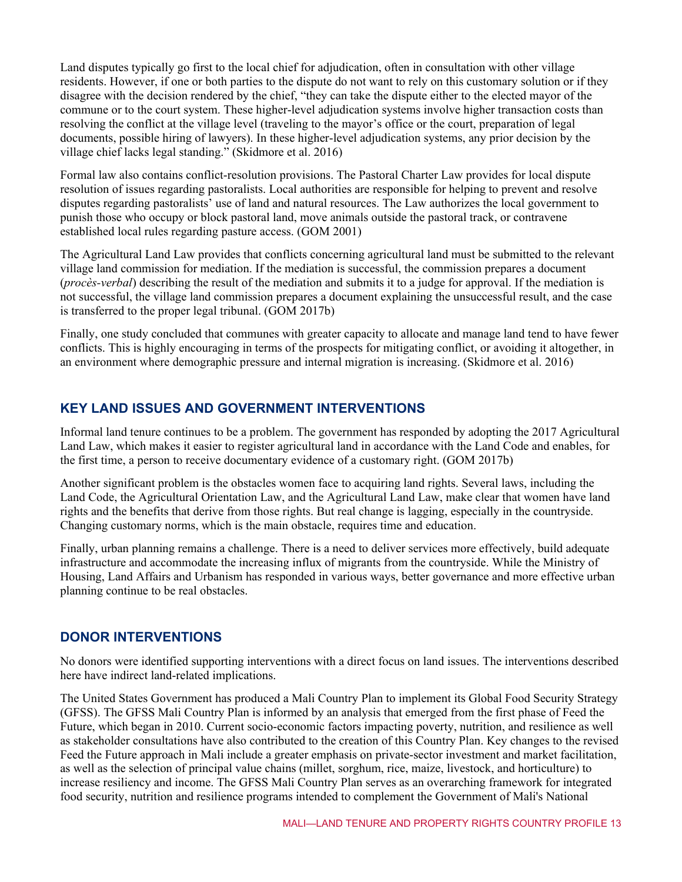Land disputes typically go first to the local chief for adjudication, often in consultation with other village residents. However, if one or both parties to the dispute do not want to rely on this customary solution or if they disagree with the decision rendered by the chief, "they can take the dispute either to the elected mayor of the commune or to the court system. These higher-level adjudication systems involve higher transaction costs than resolving the conflict at the village level (traveling to the mayor's office or the court, preparation of legal documents, possible hiring of lawyers). In these higher-level adjudication systems, any prior decision by the village chief lacks legal standing." (Skidmore et al. 2016)

Formal law also contains conflict-resolution provisions. The Pastoral Charter Law provides for local dispute resolution of issues regarding pastoralists. Local authorities are responsible for helping to prevent and resolve disputes regarding pastoralists' use of land and natural resources. The Law authorizes the local government to punish those who occupy or block pastoral land, move animals outside the pastoral track, or contravene established local rules regarding pasture access. (GOM 2001)

The Agricultural Land Law provides that conflicts concerning agricultural land must be submitted to the relevant village land commission for mediation. If the mediation is successful, the commission prepares a document (*procès-verbal*) describing the result of the mediation and submits it to a judge for approval. If the mediation is not successful, the village land commission prepares a document explaining the unsuccessful result, and the case is transferred to the proper legal tribunal. (GOM 2017b)

Finally, one study concluded that communes with greater capacity to allocate and manage land tend to have fewer conflicts. This is highly encouraging in terms of the prospects for mitigating conflict, or avoiding it altogether, in an environment where demographic pressure and internal migration is increasing. (Skidmore et al. 2016)

#### **KEY LAND ISSUES AND GOVERNMENT INTERVENTIONS**

Informal land tenure continues to be a problem. The government has responded by adopting the 2017 Agricultural Land Law, which makes it easier to register agricultural land in accordance with the Land Code and enables, for the first time, a person to receive documentary evidence of a customary right. (GOM 2017b)

Another significant problem is the obstacles women face to acquiring land rights. Several laws, including the Land Code, the Agricultural Orientation Law, and the Agricultural Land Law, make clear that women have land rights and the benefits that derive from those rights. But real change is lagging, especially in the countryside. Changing customary norms, which is the main obstacle, requires time and education.

Finally, urban planning remains a challenge. There is a need to deliver services more effectively, build adequate infrastructure and accommodate the increasing influx of migrants from the countryside. While the Ministry of Housing, Land Affairs and Urbanism has responded in various ways, better governance and more effective urban planning continue to be real obstacles.

#### **DONOR INTERVENTIONS**

No donors were identified supporting interventions with a direct focus on land issues. The interventions described here have indirect land-related implications.

The United States Government has produced a Mali Country Plan to implement its Global Food Security Strategy (GFSS). The GFSS Mali Country Plan is informed by an analysis that emerged from the first phase of Feed the Future, which began in 2010. Current socio-economic factors impacting poverty, nutrition, and resilience as well as stakeholder consultations have also contributed to the creation of this Country Plan. Key changes to the revised Feed the Future approach in Mali include a greater emphasis on private-sector investment and market facilitation, as well as the selection of principal value chains (millet, sorghum, rice, maize, livestock, and horticulture) to increase resiliency and income. The GFSS Mali Country Plan serves as an overarching framework for integrated food security, nutrition and resilience programs intended to complement the Government of Mali's National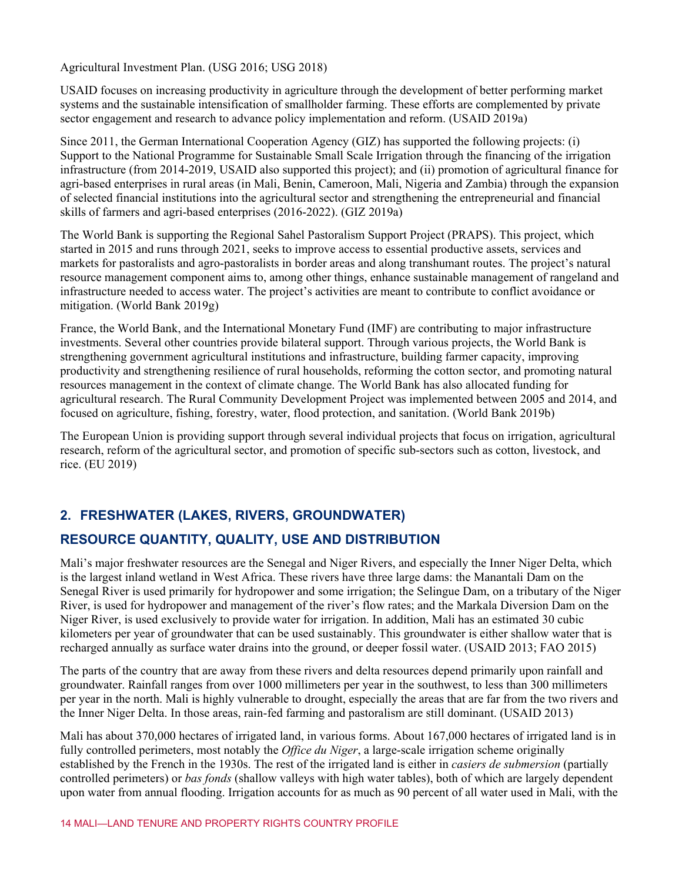Agricultural Investment Plan. (USG 2016; USG 2018)

USAID focuses on increasing productivity in agriculture through the development of better performing market systems and the sustainable intensification of smallholder farming. These efforts are complemented by private sector engagement and research to advance policy implementation and reform. (USAID 2019a)

Since 2011, the German International Cooperation Agency (GIZ) has supported the following projects: (i) Support to the National Programme for Sustainable Small Scale Irrigation through the financing of the irrigation infrastructure (from 2014-2019, USAID also supported this project); and (ii) promotion of agricultural finance for agri-based enterprises in rural areas (in Mali, Benin, Cameroon, Mali, Nigeria and Zambia) through the expansion of selected financial institutions into the agricultural sector and strengthening the entrepreneurial and financial skills of farmers and agri-based enterprises (2016-2022). (GIZ 2019a)

The World Bank is supporting the Regional Sahel Pastoralism Support Project (PRAPS). This project, which started in 2015 and runs through 2021, seeks to improve access to essential productive assets, services and markets for pastoralists and agro-pastoralists in border areas and along transhumant routes. The project's natural resource management component aims to, among other things, enhance sustainable management of rangeland and infrastructure needed to access water. The project's activities are meant to contribute to conflict avoidance or mitigation. (World Bank 2019g)

France, the World Bank, and the International Monetary Fund (IMF) are contributing to major infrastructure investments. Several other countries provide bilateral support. Through various projects, the World Bank is strengthening government agricultural institutions and infrastructure, building farmer capacity, improving productivity and strengthening resilience of rural households, reforming the cotton sector, and promoting natural resources management in the context of climate change. The World Bank has also allocated funding for agricultural research. The Rural Community Development Project was implemented between 2005 and 2014, and focused on agriculture, fishing, forestry, water, flood protection, and sanitation. (World Bank 2019b)

The European Union is providing support through several individual projects that focus on irrigation, agricultural research, reform of the agricultural sector, and promotion of specific sub-sectors such as cotton, livestock, and rice. (EU 2019)

#### **2. FRESHWATER (LAKES, RIVERS, GROUNDWATER)**

#### **RESOURCE QUANTITY, QUALITY, USE AND DISTRIBUTION**

Mali's major freshwater resources are the Senegal and Niger Rivers, and especially the Inner Niger Delta, which is the largest inland wetland in West Africa. These rivers have three large dams: the Manantali Dam on the Senegal River is used primarily for hydropower and some irrigation; the Selingue Dam, on a tributary of the Niger River, is used for hydropower and management of the river's flow rates; and the Markala Diversion Dam on the Niger River, is used exclusively to provide water for irrigation. In addition, Mali has an estimated 30 cubic kilometers per year of groundwater that can be used sustainably. This groundwater is either shallow water that is recharged annually as surface water drains into the ground, or deeper fossil water. (USAID 2013; FAO 2015)

The parts of the country that are away from these rivers and delta resources depend primarily upon rainfall and groundwater. Rainfall ranges from over 1000 millimeters per year in the southwest, to less than 300 millimeters per year in the north. Mali is highly vulnerable to drought, especially the areas that are far from the two rivers and the Inner Niger Delta. In those areas, rain-fed farming and pastoralism are still dominant. (USAID 2013)

Mali has about 370,000 hectares of irrigated land, in various forms. About 167,000 hectares of irrigated land is in fully controlled perimeters, most notably the *Office du Niger*, a large-scale irrigation scheme originally established by the French in the 1930s. The rest of the irrigated land is either in *casiers de submersion* (partially controlled perimeters) or *bas fonds* (shallow valleys with high water tables), both of which are largely dependent upon water from annual flooding. Irrigation accounts for as much as 90 percent of all water used in Mali, with the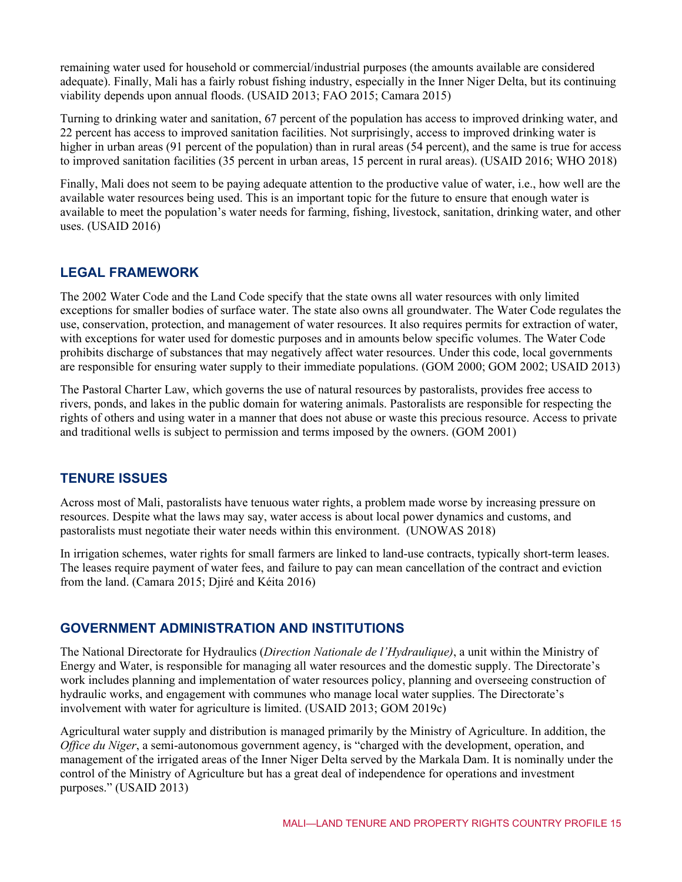remaining water used for household or commercial/industrial purposes (the amounts available are considered adequate). Finally, Mali has a fairly robust fishing industry, especially in the Inner Niger Delta, but its continuing viability depends upon annual floods. (USAID 2013; FAO 2015; Camara 2015)

Turning to drinking water and sanitation, 67 percent of the population has access to improved drinking water, and 22 percent has access to improved sanitation facilities. Not surprisingly, access to improved drinking water is higher in urban areas (91 percent of the population) than in rural areas (54 percent), and the same is true for access to improved sanitation facilities (35 percent in urban areas, 15 percent in rural areas). (USAID 2016; WHO 2018)

Finally, Mali does not seem to be paying adequate attention to the productive value of water, i.e., how well are the available water resources being used. This is an important topic for the future to ensure that enough water is available to meet the population's water needs for farming, fishing, livestock, sanitation, drinking water, and other uses. (USAID 2016)

#### **LEGAL FRAMEWORK**

The 2002 Water Code and the Land Code specify that the state owns all water resources with only limited exceptions for smaller bodies of surface water. The state also owns all groundwater. The Water Code regulates the use, conservation, protection, and management of water resources. It also requires permits for extraction of water, with exceptions for water used for domestic purposes and in amounts below specific volumes. The Water Code prohibits discharge of substances that may negatively affect water resources. Under this code, local governments are responsible for ensuring water supply to their immediate populations. (GOM 2000; GOM 2002; USAID 2013)

The Pastoral Charter Law, which governs the use of natural resources by pastoralists, provides free access to rivers, ponds, and lakes in the public domain for watering animals. Pastoralists are responsible for respecting the rights of others and using water in a manner that does not abuse or waste this precious resource. Access to private and traditional wells is subject to permission and terms imposed by the owners. (GOM 2001)

#### **TENURE ISSUES**

Across most of Mali, pastoralists have tenuous water rights, a problem made worse by increasing pressure on resources. Despite what the laws may say, water access is about local power dynamics and customs, and pastoralists must negotiate their water needs within this environment. (UNOWAS 2018)

In irrigation schemes, water rights for small farmers are linked to land-use contracts, typically short-term leases. The leases require payment of water fees, and failure to pay can mean cancellation of the contract and eviction from the land. (Camara 2015; Djiré and Kéita 2016)

#### **GOVERNMENT ADMINISTRATION AND INSTITUTIONS**

The National Directorate for Hydraulics (*Direction Nationale de l'Hydraulique)*, a unit within the Ministry of Energy and Water, is responsible for managing all water resources and the domestic supply. The Directorate's work includes planning and implementation of water resources policy, planning and overseeing construction of hydraulic works, and engagement with communes who manage local water supplies. The Directorate's involvement with water for agriculture is limited. (USAID 2013; GOM 2019c)

Agricultural water supply and distribution is managed primarily by the Ministry of Agriculture. In addition, the *Office du Niger*, a semi-autonomous government agency, is "charged with the development, operation, and management of the irrigated areas of the Inner Niger Delta served by the Markala Dam. It is nominally under the control of the Ministry of Agriculture but has a great deal of independence for operations and investment purposes." (USAID 2013)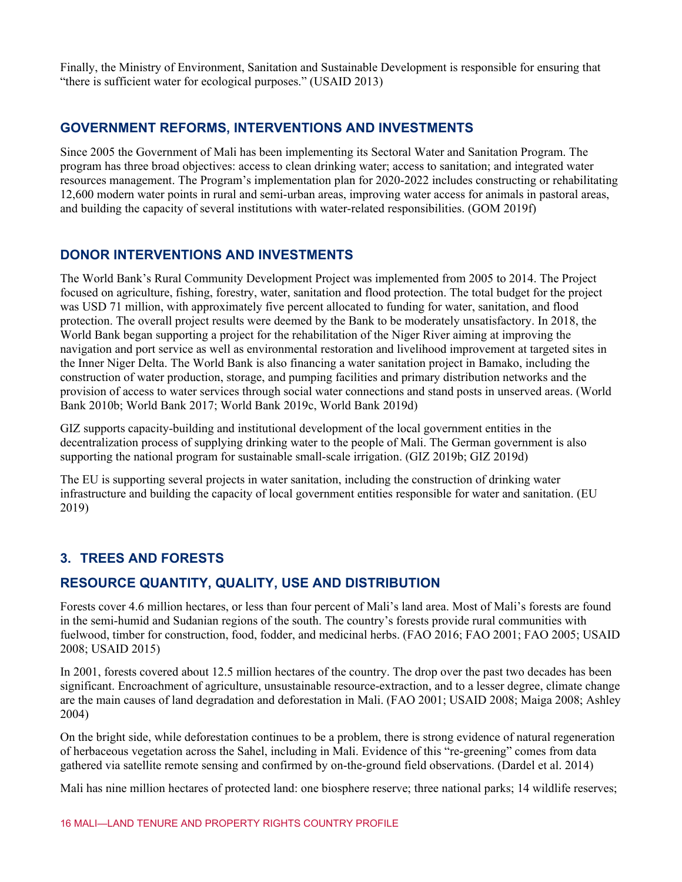Finally, the Ministry of Environment, Sanitation and Sustainable Development is responsible for ensuring that "there is sufficient water for ecological purposes." (USAID 2013)

#### **GOVERNMENT REFORMS, INTERVENTIONS AND INVESTMENTS**

Since 2005 the Government of Mali has been implementing its Sectoral Water and Sanitation Program. The program has three broad objectives: access to clean drinking water; access to sanitation; and integrated water resources management. The Program's implementation plan for 2020-2022 includes constructing or rehabilitating 12,600 modern water points in rural and semi-urban areas, improving water access for animals in pastoral areas, and building the capacity of several institutions with water-related responsibilities. (GOM 2019f)

#### **DONOR INTERVENTIONS AND INVESTMENTS**

The World Bank's Rural Community Development Project was implemented from 2005 to 2014. The Project focused on agriculture, fishing, forestry, water, sanitation and flood protection. The total budget for the project was USD 71 million, with approximately five percent allocated to funding for water, sanitation, and flood protection. The overall project results were deemed by the Bank to be moderately unsatisfactory. In 2018, the World Bank began supporting a project for the rehabilitation of the Niger River aiming at improving the navigation and port service as well as environmental restoration and livelihood improvement at targeted sites in the Inner Niger Delta. The World Bank is also financing a water sanitation project in Bamako, including the construction of water production, storage, and pumping facilities and primary distribution networks and the provision of access to water services through social water connections and stand posts in unserved areas. (World Bank 2010b; World Bank 2017; World Bank 2019c, World Bank 2019d)

GIZ supports capacity-building and institutional development of the local government entities in the decentralization process of supplying drinking water to the people of Mali. The German government is also supporting the national program for sustainable small-scale irrigation. (GIZ 2019b; GIZ 2019d)

The EU is supporting several projects in water sanitation, including the construction of drinking water infrastructure and building the capacity of local government entities responsible for water and sanitation. (EU 2019)

## **3. TREES AND FORESTS**

#### **RESOURCE QUANTITY, QUALITY, USE AND DISTRIBUTION**

Forests cover 4.6 million hectares, or less than four percent of Mali's land area. Most of Mali's forests are found in the semi-humid and Sudanian regions of the south. The country's forests provide rural communities with fuelwood, timber for construction, food, fodder, and medicinal herbs. (FAO 2016; FAO 2001; FAO 2005; USAID 2008; USAID 2015)

In 2001, forests covered about 12.5 million hectares of the country. The drop over the past two decades has been significant. Encroachment of agriculture, unsustainable resource-extraction, and to a lesser degree, climate change are the main causes of land degradation and deforestation in Mali. (FAO 2001; USAID 2008; Maiga 2008; Ashley 2004)

On the bright side, while deforestation continues to be a problem, there is strong evidence of natural regeneration of herbaceous vegetation across the Sahel, including in Mali. Evidence of this "re-greening" comes from data gathered via satellite remote sensing and confirmed by on-the-ground field observations. (Dardel et al. 2014)

Mali has nine million hectares of protected land: one biosphere reserve; three national parks; 14 wildlife reserves;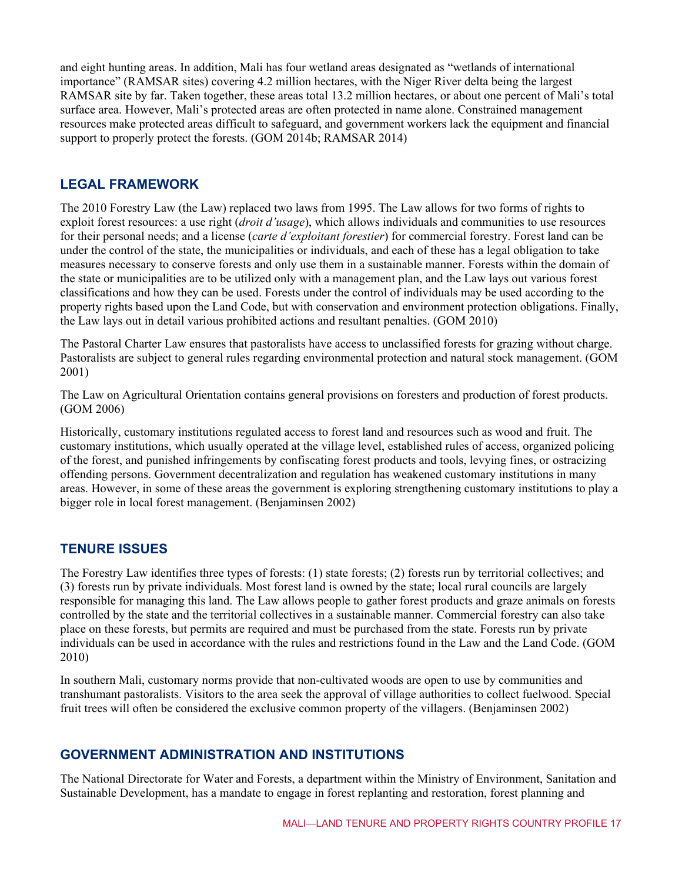and eight hunting areas. In addition, Mali has four wetland areas designated as "wetlands of international importance" (RAMSAR sites) covering 4.2 million hectares, with the Niger River delta being the largest RAMSAR site by far. Taken together, these areas total 13.2 million hectares, or about one percent of Mali's total surface area. However, Mali's protected areas are often protected in name alone. Constrained management resources make protected areas difficult to safeguard, and government workers lack the equipment and financial support to properly protect the forests. (GOM 2014b; RAMSAR 2014)

#### **LEGAL FRAMEWORK**

The 2010 Forestry Law (the Law) replaced two laws from 1995. The Law allows for two forms of rights to exploit forest resources: a use right (*droit d'usage*), which allows individuals and communities to use resources for their personal needs; and a license (*carte d'exploitant forestier*) for commercial forestry. Forest land can be under the control of the state, the municipalities or individuals, and each of these has a legal obligation to take measures necessary to conserve forests and only use them in a sustainable manner. Forests within the domain of the state or municipalities are to be utilized only with a management plan, and the Law lays out various forest classifications and how they can be used. Forests under the control of individuals may be used according to the property rights based upon the Land Code, but with conservation and environment protection obligations. Finally, the Law lays out in detail various prohibited actions and resultant penalties. (GOM 2010)

The Pastoral Charter Law ensures that pastoralists have access to unclassified forests for grazing without charge. Pastoralists are subject to general rules regarding environmental protection and natural stock management. (GOM 2001)

The Law on Agricultural Orientation contains general provisions on foresters and production of forest products. (GOM 2006)

Historically, customary institutions regulated access to forest land and resources such as wood and fruit. The customary institutions, which usually operated at the village level, established rules of access, organized policing of the forest, and punished infringements by confiscating forest products and tools, levying fines, or ostracizing offending persons. Government decentralization and regulation has weakened customary institutions in many areas. However, in some of these areas the government is exploring strengthening customary institutions to play a bigger role in local forest management. (Benjaminsen 2002)

#### **TENURE ISSUES**

The Forestry Law identifies three types of forests: (1) state forests; (2) forests run by territorial collectives; and (3) forests run by private individuals. Most forest land is owned by the state; local rural councils are largely responsible for managing this land. The Law allows people to gather forest products and graze animals on forests controlled by the state and the territorial collectives in a sustainable manner. Commercial forestry can also take place on these forests, but permits are required and must be purchased from the state. Forests run by private individuals can be used in accordance with the rules and restrictions found in the Law and the Land Code. (GOM 2010)

In southern Mali, customary norms provide that non-cultivated woods are open to use by communities and transhumant pastoralists. Visitors to the area seek the approval of village authorities to collect fuelwood. Special fruit trees will often be considered the exclusive common property of the villagers. (Benjaminsen 2002)

#### **GOVERNMENT ADMINISTRATION AND INSTITUTIONS**

The National Directorate for Water and Forests, a department within the Ministry of Environment, Sanitation and Sustainable Development, has a mandate to engage in forest replanting and restoration, forest planning and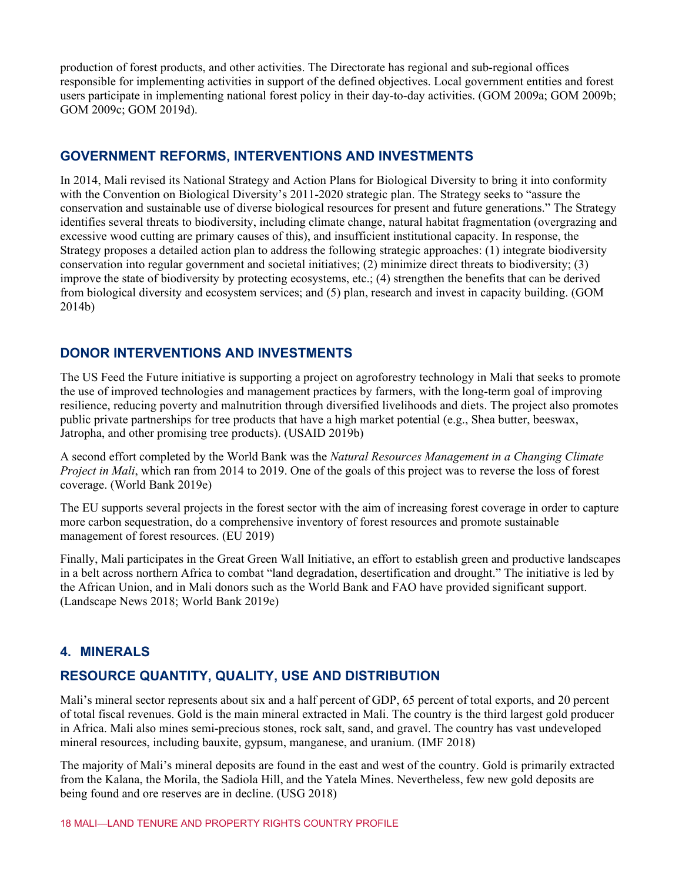production of forest products, and other activities. The Directorate has regional and sub-regional offices responsible for implementing activities in support of the defined objectives. Local government entities and forest users participate in implementing national forest policy in their day-to-day activities. (GOM 2009a; GOM 2009b; GOM 2009c; GOM 2019d).

#### **GOVERNMENT REFORMS, INTERVENTIONS AND INVESTMENTS**

In 2014, Mali revised its National Strategy and Action Plans for Biological Diversity to bring it into conformity with the Convention on Biological Diversity's 2011-2020 strategic plan. The Strategy seeks to "assure the conservation and sustainable use of diverse biological resources for present and future generations." The Strategy identifies several threats to biodiversity, including climate change, natural habitat fragmentation (overgrazing and excessive wood cutting are primary causes of this), and insufficient institutional capacity. In response, the Strategy proposes a detailed action plan to address the following strategic approaches: (1) integrate biodiversity conservation into regular government and societal initiatives; (2) minimize direct threats to biodiversity; (3) improve the state of biodiversity by protecting ecosystems, etc.; (4) strengthen the benefits that can be derived from biological diversity and ecosystem services; and (5) plan, research and invest in capacity building. (GOM 2014b)

#### **DONOR INTERVENTIONS AND INVESTMENTS**

The US Feed the Future initiative is supporting a project on agroforestry technology in Mali that seeks to promote the use of improved technologies and management practices by farmers, with the long-term goal of improving resilience, reducing poverty and malnutrition through diversified livelihoods and diets. The project also promotes public private partnerships for tree products that have a high market potential (e.g., Shea butter, beeswax, Jatropha, and other promising tree products). (USAID 2019b)

A second effort completed by the World Bank was the *Natural Resources Management in a Changing Climate Project in Mali*, which ran from 2014 to 2019. One of the goals of this project was to reverse the loss of forest coverage. (World Bank 2019e)

The EU supports several projects in the forest sector with the aim of increasing forest coverage in order to capture more carbon sequestration, do a comprehensive inventory of forest resources and promote sustainable management of forest resources. (EU 2019)

Finally, Mali participates in the Great Green Wall Initiative, an effort to establish green and productive landscapes in a belt across northern Africa to combat "land degradation, desertification and drought." The initiative is led by the African Union, and in Mali donors such as the World Bank and FAO have provided significant support. (Landscape News 2018; World Bank 2019e)

#### **4. MINERALS**

#### **RESOURCE QUANTITY, QUALITY, USE AND DISTRIBUTION**

Mali's mineral sector represents about six and a half percent of GDP, 65 percent of total exports, and 20 percent of total fiscal revenues. Gold is the main mineral extracted in Mali. The country is the third largest gold producer in Africa. Mali also mines semi-precious stones, rock salt, sand, and gravel. The country has vast undeveloped mineral resources, including bauxite, gypsum, manganese, and uranium. (IMF 2018)

The majority of Mali's mineral deposits are found in the east and west of the country. Gold is primarily extracted from the Kalana, the Morila, the Sadiola Hill, and the Yatela Mines. Nevertheless, few new gold deposits are being found and ore reserves are in decline. (USG 2018)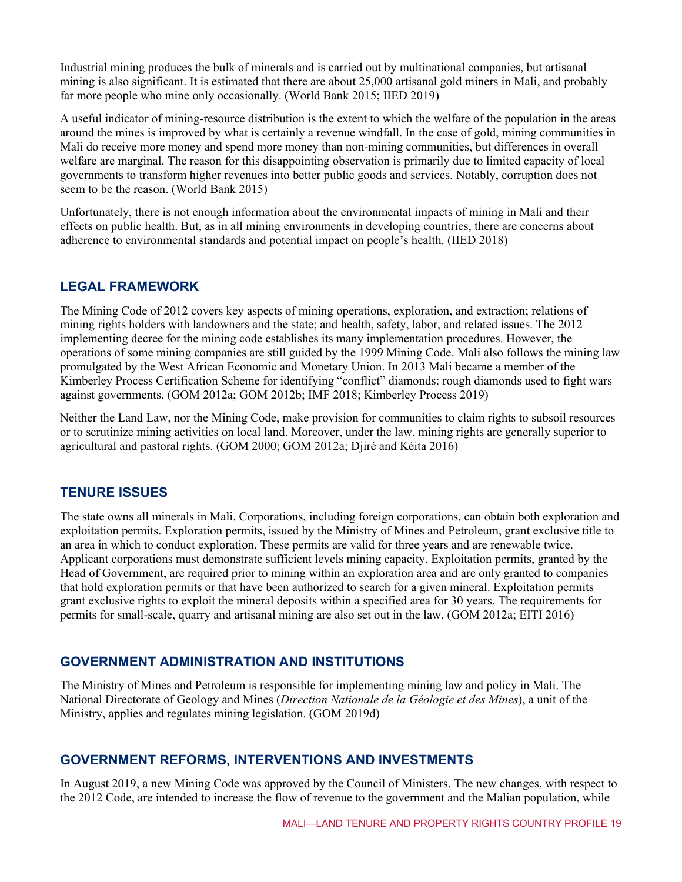Industrial mining produces the bulk of minerals and is carried out by multinational companies, but artisanal mining is also significant. It is estimated that there are about 25,000 artisanal gold miners in Mali, and probably far more people who mine only occasionally. (World Bank 2015; IIED 2019)

A useful indicator of mining-resource distribution is the extent to which the welfare of the population in the areas around the mines is improved by what is certainly a revenue windfall. In the case of gold, mining communities in Mali do receive more money and spend more money than non-mining communities, but differences in overall welfare are marginal. The reason for this disappointing observation is primarily due to limited capacity of local governments to transform higher revenues into better public goods and services. Notably, corruption does not seem to be the reason. (World Bank 2015)

Unfortunately, there is not enough information about the environmental impacts of mining in Mali and their effects on public health. But, as in all mining environments in developing countries, there are concerns about adherence to environmental standards and potential impact on people's health. (IIED 2018)

#### **LEGAL FRAMEWORK**

The Mining Code of 2012 covers key aspects of mining operations, exploration, and extraction; relations of mining rights holders with landowners and the state; and health, safety, labor, and related issues. The 2012 implementing decree for the mining code establishes its many implementation procedures. However, the operations of some mining companies are still guided by the 1999 Mining Code. Mali also follows the mining law promulgated by the West African Economic and Monetary Union. In 2013 Mali became a member of the Kimberley Process Certification Scheme for identifying "conflict" diamonds: rough diamonds used to fight wars against governments. (GOM 2012a; GOM 2012b; IMF 2018; Kimberley Process 2019)

Neither the Land Law, nor the Mining Code, make provision for communities to claim rights to subsoil resources or to scrutinize mining activities on local land. Moreover, under the law, mining rights are generally superior to agricultural and pastoral rights. (GOM 2000; GOM 2012a; Djiré and Kéita 2016)

#### **TENURE ISSUES**

The state owns all minerals in Mali. Corporations, including foreign corporations, can obtain both exploration and exploitation permits. Exploration permits, issued by the Ministry of Mines and Petroleum, grant exclusive title to an area in which to conduct exploration. These permits are valid for three years and are renewable twice. Applicant corporations must demonstrate sufficient levels mining capacity. Exploitation permits, granted by the Head of Government, are required prior to mining within an exploration area and are only granted to companies that hold exploration permits or that have been authorized to search for a given mineral. Exploitation permits grant exclusive rights to exploit the mineral deposits within a specified area for 30 years. The requirements for permits for small-scale, quarry and artisanal mining are also set out in the law. (GOM 2012a; EITI 2016)

#### **GOVERNMENT ADMINISTRATION AND INSTITUTIONS**

The Ministry of Mines and Petroleum is responsible for implementing mining law and policy in Mali. The National Directorate of Geology and Mines (*Direction Nationale de la Géologie et des Mines*), a unit of the Ministry, applies and regulates mining legislation. (GOM 2019d)

#### **GOVERNMENT REFORMS, INTERVENTIONS AND INVESTMENTS**

In August 2019, a new Mining Code was approved by the Council of Ministers. The new changes, with respect to the 2012 Code, are intended to increase the flow of revenue to the government and the Malian population, while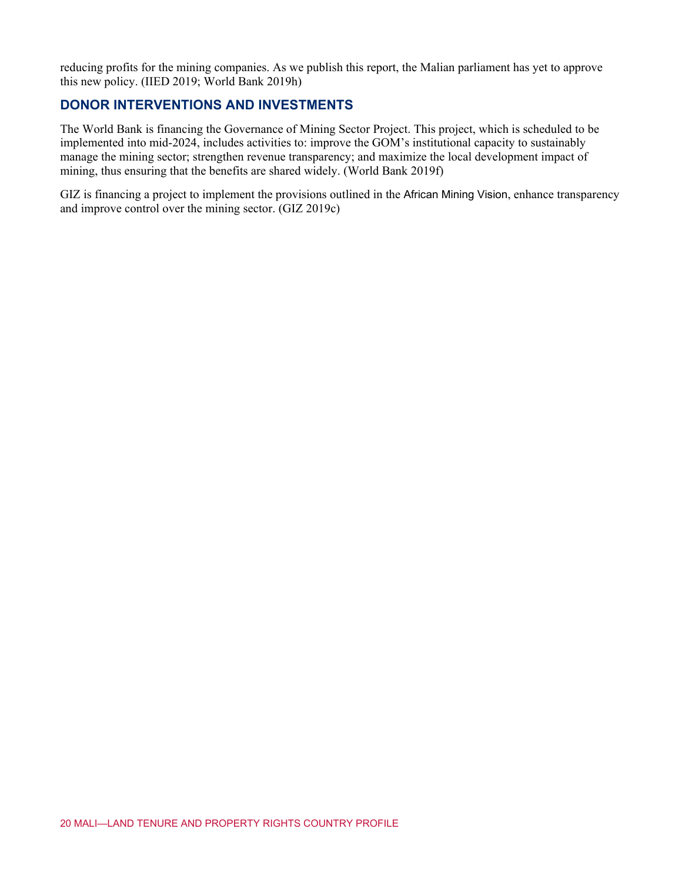reducing profits for the mining companies. As we publish this report, the Malian parliament has yet to approve this new policy. (IIED 2019; World Bank 2019h)

#### **DONOR INTERVENTIONS AND INVESTMENTS**

The World Bank is financing the Governance of Mining Sector Project. This project, which is scheduled to be implemented into mid-2024, includes activities to: improve the GOM's institutional capacity to sustainably manage the mining sector; strengthen revenue transparency; and maximize the local development impact of mining, thus ensuring that the benefits are shared widely. (World Bank 2019f)

GIZ is financing a project to implement the provisions outlined in the African Mining Vision, enhance transparency and improve control over the mining sector. (GIZ 2019c)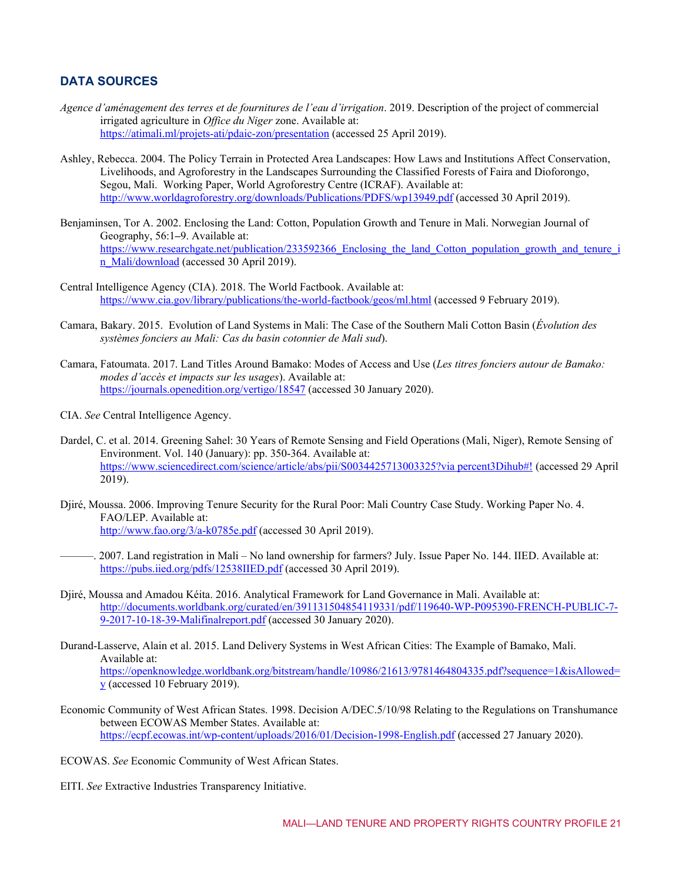#### **DATA SOURCES**

- *Agence d'aménagement des terres et de fournitures de l'eau d'irrigation*. 2019. Description of the project of commercial irrigated agriculture in *Office du Niger* zone. Available at: <https://atimali.ml/projets-ati/pdaic-zon/presentation> (accessed 25 April 2019).
- Ashley, Rebecca. 2004. The Policy Terrain in Protected Area Landscapes: How Laws and Institutions Affect Conservation, Livelihoods, and Agroforestry in the Landscapes Surrounding the Classified Forests of Faira and Dioforongo, Segou, Mali. Working Paper, World Agroforestry Centre (ICRAF). Available at: <http://www.worldagroforestry.org/downloads/Publications/PDFS/wp13949.pdf> (accessed 30 April 2019).
- Benjaminsen, Tor A. 2002. Enclosing the Land: Cotton, Population Growth and Tenure in Mali. Norwegian Journal of Geography, 56:1**–**9. Available at: [https://www.researchgate.net/publication/233592366\\_Enclosing\\_the\\_land\\_Cotton\\_population\\_growth\\_and\\_tenure\\_i](https://www.researchgate.net/publication/233592366_Enclosing_the_land_Cotton_population_growth_and_tenure_in_Mali/download) [n\\_Mali/download](https://www.researchgate.net/publication/233592366_Enclosing_the_land_Cotton_population_growth_and_tenure_in_Mali/download) (accessed 30 April 2019).
- Central Intelligence Agency (CIA). 2018. The World Factbook. Available at: <https://www.cia.gov/library/publications/the-world-factbook/geos/ml.html> (accessed 9 February 2019).
- Camara, Bakary. 2015. Evolution of Land Systems in Mali: The Case of the Southern Mali Cotton Basin (*Évolution des systèmes fonciers au Mali: Cas du basin cotonnier de Mali sud*).
- Camara, Fatoumata. 2017. Land Titles Around Bamako: Modes of Access and Use (*Les titres fonciers autour de Bamako: modes d'accès et impacts sur les usages*). Available at: <https://journals.openedition.org/vertigo/18547> (accessed 30 January 2020).
- CIA. *See* Central Intelligence Agency.
- Dardel, C. et al. 2014. Greening Sahel: 30 Years of Remote Sensing and Field Operations (Mali, Niger), Remote Sensing of Environment. Vol. 140 (January): pp. 350-364. Available at: [https://www.sciencedirect.com/science/article/abs/pii/S0034425713003325?via percent3Dihub#!](https://www.sciencedirect.com/science/article/abs/pii/S0034425713003325?via%3Dihub#!) (accessed 29 April 2019).
- Djiré, Moussa. 2006. Improving Tenure Security for the Rural Poor: Mali Country Case Study. Working Paper No. 4. FAO/LEP. Available at: <http://www.fao.org/3/a-k0785e.pdf> (accessed 30 April 2019).
- ———. 2007. Land registration in Mali No land ownership for farmers? July. Issue Paper No. 144. IIED. Available at: <https://pubs.iied.org/pdfs/12538IIED.pdf> (accessed 30 April 2019).
- Djiré, Moussa and Amadou Kéita. 2016. Analytical Framework for Land Governance in Mali. Available at: [http://documents.worldbank.org/curated/en/391131504854119331/pdf/119640-WP-P095390-FRENCH-PUBLIC-7-](http://documents.worldbank.org/curated/en/391131504854119331/pdf/119640-WP-P095390-FRENCH-PUBLIC-7-9-2017-10-18-39-Malifinalreport.pdf) [9-2017-10-18-39-Malifinalreport.pdf](http://documents.worldbank.org/curated/en/391131504854119331/pdf/119640-WP-P095390-FRENCH-PUBLIC-7-9-2017-10-18-39-Malifinalreport.pdf) (accessed 30 January 2020).
- Durand-Lasserve, Alain et al. 2015. Land Delivery Systems in West African Cities: The Example of Bamako, Mali. Available at: [https://openknowledge.worldbank.org/bitstream/handle/10986/21613/9781464804335.pdf?sequence=1&isAllowed=](https://openknowledge.worldbank.org/bitstream/handle/10986/21613/9781464804335.pdf?sequence=1&isAllowed=y) [y](https://openknowledge.worldbank.org/bitstream/handle/10986/21613/9781464804335.pdf?sequence=1&isAllowed=y) (accessed 10 February 2019).
- Economic Community of West African States. 1998. Decision A/DEC.5/10/98 Relating to the Regulations on Transhumance between ECOWAS Member States. Available at: <https://ecpf.ecowas.int/wp-content/uploads/2016/01/Decision-1998-English.pdf> (accessed 27 January 2020).
- ECOWAS. *See* Economic Community of West African States.
- EITI. *See* Extractive Industries Transparency Initiative.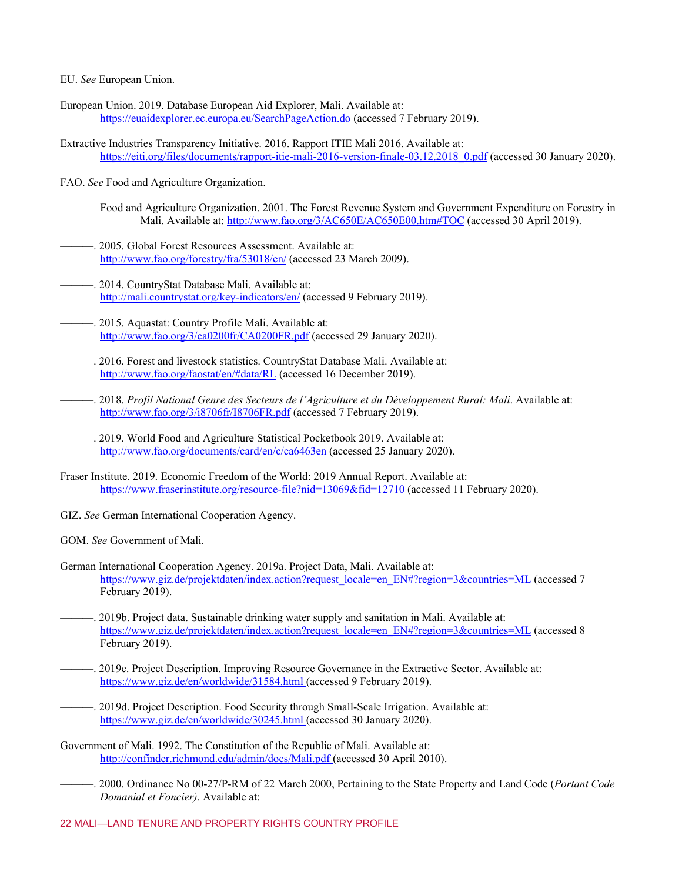EU. *See* European Union.

- European Union. 2019. Database European Aid Explorer, Mali. Available at: <https://euaidexplorer.ec.europa.eu/SearchPageAction.do> (accessed 7 February 2019).
- Extractive Industries Transparency Initiative. 2016. Rapport ITIE Mali 2016. Available at: [https://eiti.org/files/documents/rapport-itie-mali-2016-version-finale-03.12.2018\\_0.pdf](https://eiti.org/files/documents/rapport-itie-mali-2016-version-finale-03.12.2018_0.pdf) (accessed 30 January 2020).
- FAO. *See* Food and Agriculture Organization.
	- Food and Agriculture Organization. 2001. The Forest Revenue System and Government Expenditure on Forestry in Mali. Available at: <http://www.fao.org/3/AC650E/AC650E00.htm#TOC> (accessed 30 April 2019).
- 2005. Global Forest Resources Assessment. Available at: <http://www.fao.org/forestry/fra/53018/en/> (accessed 23 March 2009).
- . 2014. CountryStat Database Mali. Available at: <http://mali.countrystat.org/key-indicators/en/> (accessed 9 February 2019).
- ———. 2015. Aquastat: Country Profile Mali. Available at: <http://www.fao.org/3/ca0200fr/CA0200FR.pdf> (accessed 29 January 2020).
- ———. 2016. Forest and livestock statistics. CountryStat Database Mali. Available at: <http://www.fao.org/faostat/en/#data/RL> (accessed 16 December 2019).
- ———. 2018. *Profil National Genre des Secteurs de l'Agriculture et du Développement Rural: Mali*. Available at: <http://www.fao.org/3/i8706fr/I8706FR.pdf> (accessed 7 February 2019).
- ———. 2019. World Food and Agriculture Statistical Pocketbook 2019. Available at: <http://www.fao.org/documents/card/en/c/ca6463en> (accessed 25 January 2020).
- Fraser Institute. 2019. Economic Freedom of the World: 2019 Annual Report. Available at: <https://www.fraserinstitute.org/resource-file?nid=13069&fid=12710> (accessed 11 February 2020).
- GIZ. *See* German International Cooperation Agency.
- GOM. *See* Government of Mali.
- German International Cooperation Agency. 2019a. Project Data, Mali. Available at: [https://www.giz.de/projektdaten/index.action?request\\_locale=en\\_EN#?region=3&countries=ML](https://www.giz.de/projektdaten/index.action?request_locale=en_EN#?region=3&countries=ML) (accessed 7 February 2019).
- ———. 2019b. Project data. Sustainable drinking water supply and sanitation in Mali. Available at: [https://www.giz.de/projektdaten/index.action?request\\_locale=en\\_EN#?region=3&countries=ML](https://www.giz.de/projektdaten/index.action?request_locale=en_EN#?region=3&countries=ML) (accessed 8 February 2019).
- ———. 2019c. Project Description. Improving Resource Governance in the Extractive Sector. Available at: <https://www.giz.de/en/worldwide/31584.html> (accessed 9 February 2019).
	- ———. 2019d. Project Description. Food Security through Small-Scale Irrigation. Available at: <https://www.giz.de/en/worldwide/30245.html> (accessed 30 January 2020).
- Government of Mali. 1992. The Constitution of the Republic of Mali. Available at: [http://confinder.richmond.edu/admin/docs/Mali.pdf \(](http://confinder.richmond.edu/admin/docs/Mali.pdf)accessed 30 April 2010).
	- ———. 2000. Ordinance No 00-27/P-RM of 22 March 2000, Pertaining to the State Property and Land Code (*Portant Code Domanial et Foncier)*. Available at: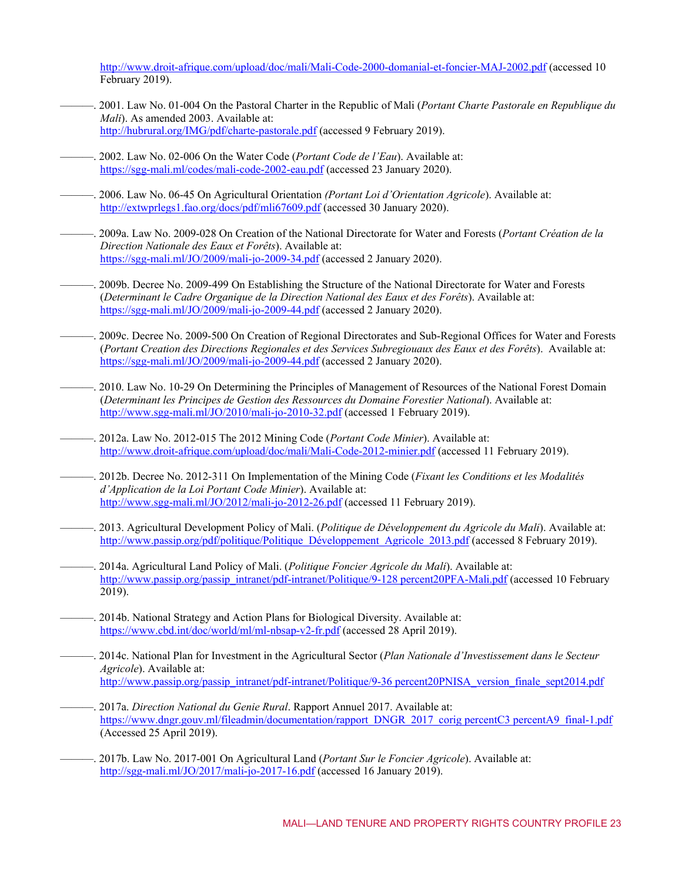<http://www.droit-afrique.com/upload/doc/mali/Mali-Code-2000-domanial-et-foncier-MAJ-2002.pdf> (accessed 10 February 2019).

- ———. 2001. Law No. 01-004 On the Pastoral Charter in the Republic of Mali (*Portant Charte Pastorale en Republique du Mali*). As amended 2003. Available at: <http://hubrural.org/IMG/pdf/charte-pastorale.pdf> (accessed 9 February 2019).
- ———. 2002. Law No. 02-006 On the Water Code (*Portant Code de l'Eau*). Available at: <https://sgg-mali.ml/codes/mali-code-2002-eau.pdf> (accessed 23 January 2020).
- ———. 2006. Law No. 06-45 On Agricultural Orientation *(Portant Loi d'Orientation Agricole*). Available at: <http://extwprlegs1.fao.org/docs/pdf/mli67609.pdf> (accessed 30 January 2020).
- ———. 2009a. Law No. 2009-028 On Creation of the National Directorate for Water and Forests (*Portant Création de la Direction Nationale des Eaux et Forêts*). Available at: <https://sgg-mali.ml/JO/2009/mali-jo-2009-34.pdf> (accessed 2 January 2020).
- ———. 2009b. Decree No. 2009-499 On Establishing the Structure of the National Directorate for Water and Forests (*Determinant le Cadre Organique de la Direction National des Eaux et des Forêts*). Available at: <https://sgg-mali.ml/JO/2009/mali-jo-2009-44.pdf> (accessed 2 January 2020).
- ———. 2009c. Decree No. 2009-500 On Creation of Regional Directorates and Sub-Regional Offices for Water and Forests (*Portant Creation des Directions Regionales et des Services Subregiouaux des Eaux et des Forêts*). Available at: <https://sgg-mali.ml/JO/2009/mali-jo-2009-44.pdf> (accessed 2 January 2020).
- ———. 2010. Law No. 10-29 On Determining the Principles of Management of Resources of the National Forest Domain (*Determinant les Principes de Gestion des Ressources du Domaine Forestier National*). Available at: <http://www.sgg-mali.ml/JO/2010/mali-jo-2010-32.pdf> (accessed 1 February 2019).
- ———. 2012a. Law No. 2012-015 The 2012 Mining Code (*Portant Code Minier*). Available at: <http://www.droit-afrique.com/upload/doc/mali/Mali-Code-2012-minier.pdf> (accessed 11 February 2019).
- ———. 2012b. Decree No. 2012-311 On Implementation of the Mining Code (*Fixant les Conditions et les Modalités d'Application de la Loi Portant Code Minier*). Available at: <http://www.sgg-mali.ml/JO/2012/mali-jo-2012-26.pdf> (accessed 11 February 2019).
- ———. 2013. Agricultural Development Policy of Mali. (*Politique de Développement du Agricole du Mali*). Available at: [http://www.passip.org/pdf/politique/Politique\\_Développement\\_Agricole\\_2013.pdf](http://www.passip.org/pdf/politique/Politique_D%C3%A9veloppement_Agricole_2013.pdf) (accessed 8 February 2019).
- ———. 2014a. Agricultural Land Policy of Mali. (*Politique Foncier Agricole du Mali*). Available at: [http://www.passip.org/passip\\_intranet/pdf-intranet/Politique/9-128 percent20PFA-Mali.pdf](http://www.passip.org/passip_intranet/pdf-intranet/Politique/9-128%20PFA-Mali.pdf) (accessed 10 February 2019).
- ———. 2014b. National Strategy and Action Plans for Biological Diversity. Available at: <https://www.cbd.int/doc/world/ml/ml-nbsap-v2-fr.pdf> (accessed 28 April 2019).
- ———. 2014c. National Plan for Investment in the Agricultural Sector (*Plan Nationale d'Investissement dans le Secteur Agricole*). Available at: [http://www.passip.org/passip\\_intranet/pdf-intranet/Politique/9-36 percent20PNISA\\_version\\_finale\\_sept2014.pdf](http://www.passip.org/passip_intranet/pdf-intranet/Politique/9-36%20PNISA_version_finale_sept2014.pdf)
- ———. 2017a. *Direction National du Genie Rural*. Rapport Annuel 2017. Available at: [https://www.dngr.gouv.ml/fileadmin/documentation/rapport\\_DNGR\\_2017\\_corig percentC3 percentA9\\_final-1.pdf](https://www.dngr.gouv.ml/fileadmin/documentation/rapport_DNGR_2017_corig%C3%A9_final-1.pdf) (Accessed 25 April 2019).
- ———. 2017b. Law No. 2017-001 On Agricultural Land (*Portant Sur le Foncier Agricole*). Available at: <http://sgg-mali.ml/JO/2017/mali-jo-2017-16.pdf> (accessed 16 January 2019).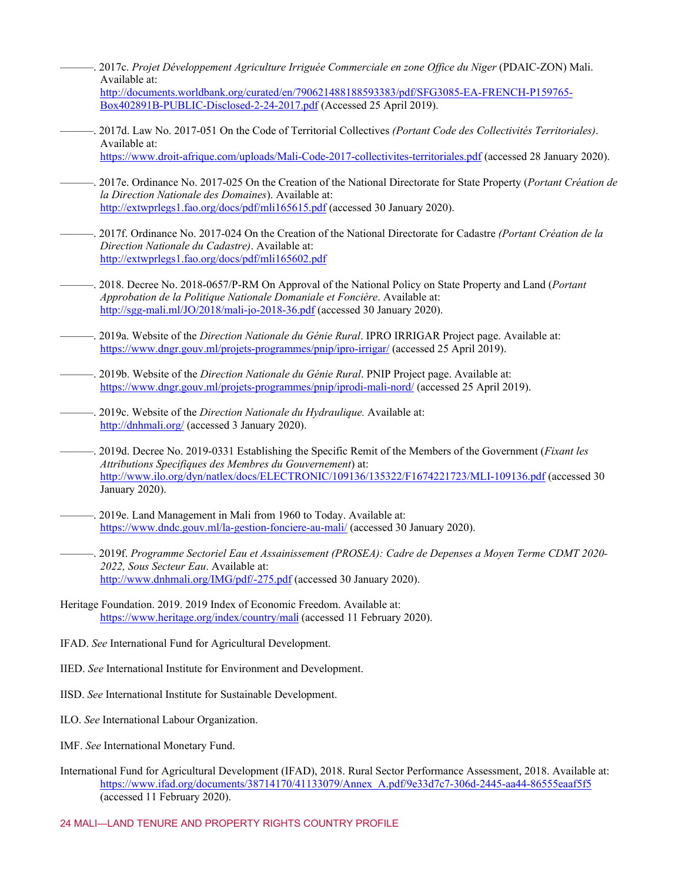- ———. 2017c. *Projet Développement Agriculture Irriguée Commerciale en zone Office du Niger* (PDAIC-ZON) Mali. Available at: [http://documents.worldbank.org/curated/en/790621488188593383/pdf/SFG3085-EA-FRENCH-P159765-](http://documents.worldbank.org/curated/en/790621488188593383/pdf/SFG3085-EA-FRENCH-P159765-Box402891B-PUBLIC-Disclosed-2-24-2017.pdf) [Box402891B-PUBLIC-Disclosed-2-24-2017.pdf](http://documents.worldbank.org/curated/en/790621488188593383/pdf/SFG3085-EA-FRENCH-P159765-Box402891B-PUBLIC-Disclosed-2-24-2017.pdf) (Accessed 25 April 2019).
- ———. 2017d. Law No. 2017-051 On the Code of Territorial Collectives *(Portant Code des Collectivités Territoriales)*. Available at: <https://www.droit-afrique.com/uploads/Mali-Code-2017-collectivites-territoriales.pdf> (accessed 28 January 2020).
- ———. 2017e. Ordinance No. 2017-025 On the Creation of the National Directorate for State Property (*Portant Création de la Direction Nationale des Domaines*). Available at: <http://extwprlegs1.fao.org/docs/pdf/mli165615.pdf> (accessed 30 January 2020).
- ———. 2017f. Ordinance No. 2017-024 On the Creation of the National Directorate for Cadastre *(Portant Création de la Direction Nationale du Cadastre)*. Available at: <http://extwprlegs1.fao.org/docs/pdf/mli165602.pdf>
	- ———. 2018. Decree No. 2018-0657/P-RM On Approval of the National Policy on State Property and Land (*Portant Approbation de la Politique Nationale Domaniale et Foncière*. Available at: <http://sgg-mali.ml/JO/2018/mali-jo-2018-36.pdf> (accessed 30 January 2020).
- ———. 2019a. Website of the *Direction Nationale du Génie Rural*. IPRO IRRIGAR Project page. Available at: <https://www.dngr.gouv.ml/projets-programmes/pnip/ipro-irrigar/> (accessed 25 April 2019).
- ———. 2019b. Website of the *Direction Nationale du Génie Rural*. PNIP Project page. Available at: <https://www.dngr.gouv.ml/projets-programmes/pnip/iprodi-mali-nord/> (accessed 25 April 2019).
- ———. 2019c. Website of the *Direction Nationale du Hydraulique.* Available at: <http://dnhmali.org/> (accessed 3 January 2020).
- ———. 2019d. Decree No. 2019-0331 Establishing the Specific Remit of the Members of the Government (*Fixant les Attributions Specifiques des Membres du Gouvernement*) at: <http://www.ilo.org/dyn/natlex/docs/ELECTRONIC/109136/135322/F1674221723/MLI-109136.pdf> (accessed 30 January 2020).
- ———. 2019e. Land Management in Mali from 1960 to Today. Available at: <https://www.dndc.gouv.ml/la-gestion-fonciere-au-mali/> (accessed 30 January 2020).
- ———. 2019f. *Programme Sectoriel Eau et Assainissement (PROSEA): Cadre de Depenses a Moyen Terme CDMT 2020- 2022, Sous Secteur Eau*. Available at: <http://www.dnhmali.org/IMG/pdf/-275.pdf> (accessed 30 January 2020).
- Heritage Foundation. 2019. 2019 Index of Economic Freedom. Available at: [https://www.heritage.org/index/country/mal](https://www.heritage.org/index/country/mali)[i](https://www.heritage.org/index/country/mali) (accessed 11 February 2020).
- IFAD. *See* International Fund for Agricultural Development.
- IIED. *See* International Institute for Environment and Development.
- IISD. *See* International Institute for Sustainable Development.
- ILO. *See* International Labour Organization.
- IMF. *See* International Monetary Fund.
- International Fund for Agricultural Development (IFAD), 2018. Rural Sector Performance Assessment, 2018. Available at: [https://www.ifad.org/documents/38714170/41133079/Annex\\_A.pdf/9e33d7c7-306d-2445-aa44-86555eaaf5f5](https://www.ifad.org/documents/38714170/41133079/Annex_A.pdf/9e33d7c7-306d-2445-aa44-86555eaaf5f5) (accessed 11 February 2020).

#### 24 MALI—LAND TENURE AND PROPERTY RIGHTS COUNTRY PROFILE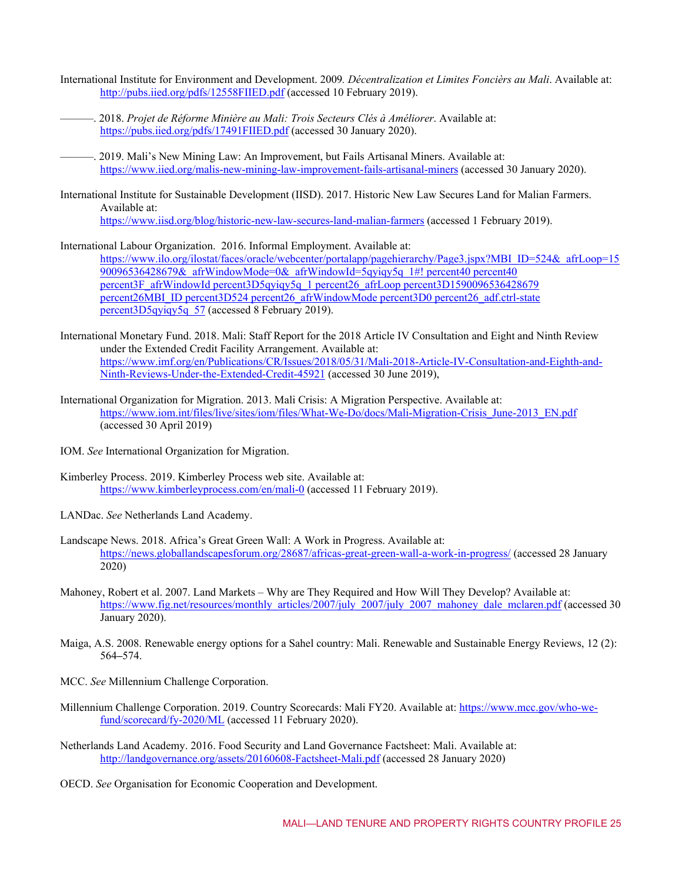- International Institute for Environment and Development. 2009*. Décentralization et Limites Foncièrs au Mali*. Available at: <http://pubs.iied.org/pdfs/12558FIIED.pdf> (accessed 10 February 2019).
- ———. 2018. *Projet de Réforme Minière au Mali: Trois Secteurs Clés à Améliorer*. Available at: <https://pubs.iied.org/pdfs/17491FIIED.pdf> (accessed 30 January 2020).
	- ———. 2019. Mali's New Mining Law: An Improvement, but Fails Artisanal Miners. Available at: <https://www.iied.org/malis-new-mining-law-improvement-fails-artisanal-miners> (accessed 30 January 2020).
- International Institute for Sustainable Development (IISD). 2017. Historic New Law Secures Land for Malian Farmers. Available at: <https://www.iisd.org/blog/historic-new-law-secures-land-malian-farmers> (accessed 1 February 2019).
- International Labour Organization. 2016. Informal Employment. Available at: [https://www.ilo.org/ilostat/faces/oracle/webcenter/portalapp/pagehierarchy/Page3.jspx?MBI\\_ID=524&\\_afrLoop=15](https://www.ilo.org/ilostat/faces/oracle/webcenter/portalapp/pagehierarchy/Page3.jspx?MBI_ID=524&_afrLoop=1590096536428679&_afrWindowMode=0&_afrWindowId=5qyiqy5q_1#!%40%40%3F_afrWindowId%3D5qyiqy5q_1%26_afrLoop%3D1590096536428679%26MBI_ID%3D524%26_afrWindowMode%3D0%26_adf.ctrl-state%3D5qyiqy5q_57)  $90096536428679&\text{afrWindowMode}=0&\text{afrWindowId}=5q\gamma iq\gamma 5q$  1#! percent40 percent40 percent3F\_afrWindowId percent3D5qyiqy5q\_1 percent26\_afrLoop percent3D1590096536428679 [percent26MBI\\_ID percent3D524 percent26\\_afrWindowMode percent3D0 percent26\\_adf.ctrl-state](https://www.ilo.org/ilostat/faces/oracle/webcenter/portalapp/pagehierarchy/Page3.jspx?MBI_ID=524&_afrLoop=1590096536428679&_afrWindowMode=0&_afrWindowId=5qyiqy5q_1#!%40%40%3F_afrWindowId%3D5qyiqy5q_1%26_afrLoop%3D1590096536428679%26MBI_ID%3D524%26_afrWindowMode%3D0%26_adf.ctrl-state%3D5qyiqy5q_57)  [percent3D5qyiqy5q\\_57](https://www.ilo.org/ilostat/faces/oracle/webcenter/portalapp/pagehierarchy/Page3.jspx?MBI_ID=524&_afrLoop=1590096536428679&_afrWindowMode=0&_afrWindowId=5qyiqy5q_1#!%40%40%3F_afrWindowId%3D5qyiqy5q_1%26_afrLoop%3D1590096536428679%26MBI_ID%3D524%26_afrWindowMode%3D0%26_adf.ctrl-state%3D5qyiqy5q_57) (accessed 8 February 2019).
- International Monetary Fund. 2018. Mali: Staff Report for the 2018 Article IV Consultation and Eight and Ninth Review under the Extended Credit Facility Arrangement. Available at: [https://www.imf.org/en/Publications/CR/Issues/2018/05/31/Mali-2018-Article-IV-Consultation-and-Eighth-and-](https://www.imf.org/en/Publications/CR/Issues/2018/05/31/Mali-2018-Article-IV-Consultation-and-Eighth-and-Ninth-Reviews-Under-the-Extended-Credit-45921)[Ninth-Reviews-Under-the-Extended-Credit-45921](https://www.imf.org/en/Publications/CR/Issues/2018/05/31/Mali-2018-Article-IV-Consultation-and-Eighth-and-Ninth-Reviews-Under-the-Extended-Credit-45921) (accessed 30 June 2019),
- International Organization for Migration. 2013. Mali Crisis: A Migration Perspective. Available at: [https://www.iom.int/files/live/sites/iom/files/What-We-Do/docs/Mali-Migration-Crisis\\_June-2013\\_EN.pdf](https://www.iom.int/files/live/sites/iom/files/What-We-Do/docs/Mali-Migration-Crisis_June-2013_EN.pdf) (accessed 30 April 2019)
- IOM. *See* International Organization for Migration.
- Kimberley Process. 2019. Kimberley Process web site. Available at: <https://www.kimberleyprocess.com/en/mali-0> (accessed 11 February 2019).
- LANDac. *See* Netherlands Land Academy.
- Landscape News. 2018. Africa's Great Green Wall: A Work in Progress. Available at: <https://news.globallandscapesforum.org/28687/africas-great-green-wall-a-work-in-progress/> (accessed 28 January 2020)
- Mahoney, Robert et al. 2007. Land Markets Why are They Required and How Will They Develop? Available at: [https://www.fig.net/resources/monthly\\_articles/2007/july\\_2007/july\\_2007\\_mahoney\\_dale\\_mclaren.pdf](https://www.fig.net/resources/monthly_articles/2007/july_2007/july_2007_mahoney_dale_mclaren.pdf) (accessed 30 January 2020).
- Maiga, A.S. 2008. Renewable energy options for a Sahel country: Mali. Renewable and Sustainable Energy Reviews, 12 (2): 564**–**574.
- MCC. *See* Millennium Challenge Corporation.
- Millennium Challenge Corporation. 2019. Country Scorecards: Mali FY20. Available at[: https://www.mcc.gov/who-we](https://www.mcc.gov/who-we-fund/scorecard/fy-2020/ML)[fund/scorecard/fy-2020/ML](https://www.mcc.gov/who-we-fund/scorecard/fy-2020/ML) (accessed 11 February 2020).
- Netherlands Land Academy. 2016. Food Security and Land Governance Factsheet: Mali. Available at: <http://landgovernance.org/assets/20160608-Factsheet-Mali.pdf> (accessed 28 January 2020)
- OECD. *See* Organisation for Economic Cooperation and Development.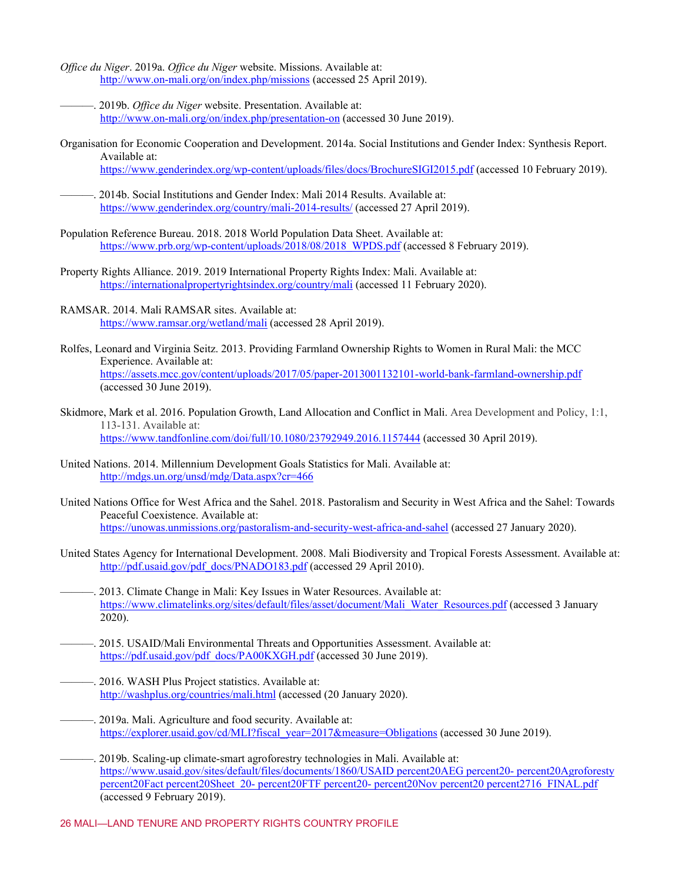- *Office du Niger*. 2019a. *Office du Niger* website. Missions. Available at: <http://www.on-mali.org/on/index.php/missions> (accessed 25 April 2019).
- ———. 2019b. *Office du Niger* website. Presentation. Available at: <http://www.on-mali.org/on/index.php/presentation-on> (accessed 30 June 2019).
- Organisation for Economic Cooperation and Development. 2014a. Social Institutions and Gender Index: Synthesis Report. Available at: <https://www.genderindex.org/wp-content/uploads/files/docs/BrochureSIGI2015.pdf> (accessed 10 February 2019).

2014b. Social Institutions and Gender Index: Mali 2014 Results. Available at: <https://www.genderindex.org/country/mali-2014-results/> (accessed 27 April 2019).

- Population Reference Bureau. 2018. 2018 World Population Data Sheet. Available at: https://www.prb.org/wp-content/uploads/2018/08/2018 WPDS.pdf (accessed 8 February 2019).
- Property Rights Alliance. 2019. 2019 International Property Rights Index: Mali. Available at: <https://internationalpropertyrightsindex.org/country/mali> (accessed 11 February 2020).
- RAMSAR. 2014. Mali RAMSAR sites. Available at: <https://www.ramsar.org/wetland/mali> (accessed 28 April 2019).
- Rolfes, Leonard and Virginia Seitz. 2013. Providing Farmland Ownership Rights to Women in Rural Mali: the MCC Experience. Available at: <https://assets.mcc.gov/content/uploads/2017/05/paper-2013001132101-world-bank-farmland-ownership.pdf> (accessed 30 June 2019).
- Skidmore, Mark et al. 2016. Population Growth, Land Allocation and Conflict in Mali. Area Development and Policy, 1:1, 113-131. Available at: <https://www.tandfonline.com/doi/full/10.1080/23792949.2016.1157444> (accessed 30 April 2019).
- United Nations. 2014. Millennium Development Goals Statistics for Mali. Available at: <http://mdgs.un.org/unsd/mdg/Data.aspx?cr=466>
- United Nations Office for West Africa and the Sahel. 2018. Pastoralism and Security in West Africa and the Sahel: Towards Peaceful Coexistence. Available at: <https://unowas.unmissions.org/pastoralism-and-security-west-africa-and-sahel> (accessed 27 January 2020).
- United States Agency for International Development. 2008. Mali Biodiversity and Tropical Forests Assessment. Available at: [http://pdf.usaid.gov/pdf\\_docs/PNADO183.pdf](http://pdf.usaid.gov/pdf_docs/PNADO183.pdf) (accessed 29 April 2010).
- ———. 2013. Climate Change in Mali: Key Issues in Water Resources. Available at: [https://www.climatelinks.org/sites/default/files/asset/document/Mali\\_Water\\_Resources.pdf](https://www.climatelinks.org/sites/default/files/asset/document/Mali_Water_Resources.pdf) (accessed 3 January 2020).
- ———. 2015. USAID/Mali Environmental Threats and Opportunities Assessment. Available at: [https://pdf.usaid.gov/pdf\\_docs/PA00KXGH.pdf](https://pdf.usaid.gov/pdf_docs/PA00KXGH.pdf) (accessed 30 June 2019).
- ———. 2016. WASH Plus Project statistics. Available at: <http://washplus.org/countries/mali.html> (accessed (20 January 2020).
- ———. 2019a. Mali. Agriculture and food security. Available at: [https://explorer.usaid.gov/cd/MLI?fiscal\\_year=2017&measure=Obligations](https://explorer.usaid.gov/cd/MLI?fiscal_year=2017&measure=Obligations) (accessed 30 June 2019).
- ———. 2019b. Scaling-up climate-smart agroforestry technologies in Mali. Available at: [https://www.usaid.gov/sites/default/files/documents/1860/USAID percent20AEG percent20-](https://www.usaid.gov/sites/default/files/documents/1860/USAID%20AEG%20-%20Agroforesty%20Fact%20Sheet%20-%20FTF%20-%20Nov%20%2716_FINAL.pdf) percent20Agroforesty percent20Fact percent20Sheet 20- percent20FTF percent20- [percent20Nov percent20 percent2716\\_FINAL.pdf](https://www.usaid.gov/sites/default/files/documents/1860/USAID%20AEG%20-%20Agroforesty%20Fact%20Sheet%20-%20FTF%20-%20Nov%20%2716_FINAL.pdf) (accessed 9 February 2019).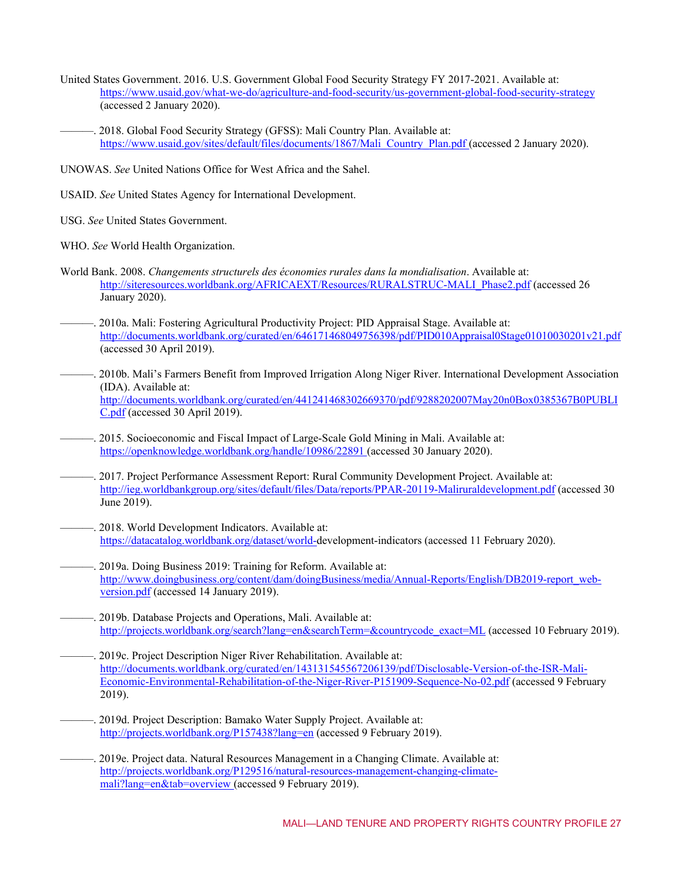- United States Government. 2016. U.S. Government Global Food Security Strategy FY 2017-2021. Available at: <https://www.usaid.gov/what-we-do/agriculture-and-food-security/us-government-global-food-security-strategy> (accessed 2 January 2020).
- 2018. Global Food Security Strategy (GFSS): Mali Country Plan. Available at: https://www.usaid.gov/sites/default/files/documents/1867/Mali\_Country\_Plan.pdf (accessed 2 January 2020).

UNOWAS. *See* United Nations Office for West Africa and the Sahel.

- USAID. *See* United States Agency for International Development.
- USG. *See* United States Government.
- WHO. *See* World Health Organization.
- World Bank. 2008. *Changements structurels des économies rurales dans la mondialisation*. Available at: [http://siteresources.worldbank.org/AFRICAEXT/Resources/RURALSTRUC-MALI\\_Phase2.pdf](http://siteresources.worldbank.org/AFRICAEXT/Resources/RURALSTRUC-MALI_Phase2.pdf) (accessed 26 January 2020).
- ———. 2010a. Mali: Fostering Agricultural Productivity Project: PID Appraisal Stage. Available at: <http://documents.worldbank.org/curated/en/646171468049756398/pdf/PID010Appraisal0Stage01010030201v21.pdf> (accessed 30 April 2019).
- ———. 2010b. Mali's Farmers Benefit from Improved Irrigation Along Niger River. International Development Association (IDA). Available at: [http://documents.worldbank.org/curated/en/441241468302669370/pdf/9288202007May20n0Box0385367B0PUBLI](http://documents.worldbank.org/curated/en/441241468302669370/pdf/9288202007May20n0Box0385367B0PUBLIC.pdf) [C.pdf](http://documents.worldbank.org/curated/en/441241468302669370/pdf/9288202007May20n0Box0385367B0PUBLIC.pdf) (accessed 30 April 2019).
- ———. 2015. Socioeconomic and Fiscal Impact of Large-Scale Gold Mining in Mali. Available at: <https://openknowledge.worldbank.org/handle/10986/22891> (accessed 30 January 2020).
- ———. 2017. Project Performance Assessment Report: Rural Community Development Project. Available at: <http://ieg.worldbankgroup.org/sites/default/files/Data/reports/PPAR-20119-Maliruraldevelopment.pdf> (accessed 30 June 2019).
- ———. 2018. World Development Indicators. Available at: [https://datacatalog.worldbank.org/dataset/world-d](https://datacatalog.worldbank.org/dataset/world-)evelopment-indicators (accessed 11 February 2020).
- ———. 2019a. Doing Business 2019: Training for Reform. Available at: [http://www.doingbusiness.org/content/dam/doingBusiness/media/Annual-Reports/English/DB2019-report\\_web](http://www.doingbusiness.org/content/dam/doingBusiness/media/Annual-Reports/English/DB2019-report_web-version.pdf)[version.pdf](http://www.doingbusiness.org/content/dam/doingBusiness/media/Annual-Reports/English/DB2019-report_web-version.pdf) (accessed 14 January 2019).
- ———. 2019b. Database Projects and Operations, Mali. Available at: [http://projects.worldbank.org/search?lang=en&searchTerm=&countrycode\\_exact=ML](http://projects.worldbank.org/search?lang=en&searchTerm=&countrycode_exact=ML) (accessed 10 February 2019).
- ———. 2019c. Project Description Niger River Rehabilitation. Available at: [http://documents.worldbank.org/curated/en/143131545567206139/pdf/Disclosable-Version-of-the-ISR-Mali-](http://documents.worldbank.org/curated/en/143131545567206139/pdf/Disclosable-Version-of-the-ISR-Mali-Economic-Environmental-Rehabilitation-of-the-Niger-River-P151909-Sequence-No-02.pdf)[Economic-Environmental-Rehabilitation-of-the-Niger-River-P151909-Sequence-No-02.pdf](http://documents.worldbank.org/curated/en/143131545567206139/pdf/Disclosable-Version-of-the-ISR-Mali-Economic-Environmental-Rehabilitation-of-the-Niger-River-P151909-Sequence-No-02.pdf) (accessed 9 February 2019).
- ———. 2019d. Project Description: Bamako Water Supply Project. Available at: <http://projects.worldbank.org/P157438?lang=en> (accessed 9 February 2019).
- ———. 2019e. Project data. Natural Resources Management in a Changing Climate. Available at: [http://projects.worldbank.org/P129516/natural-resources-management-changing-climate](http://projects.worldbank.org/P129516/natural-resources-management-changing-climate-mali?lang=en&tab=overview)[mali?lang=en&tab=overview \(](http://projects.worldbank.org/P129516/natural-resources-management-changing-climate-mali?lang=en&tab=overview)accessed 9 February 2019).